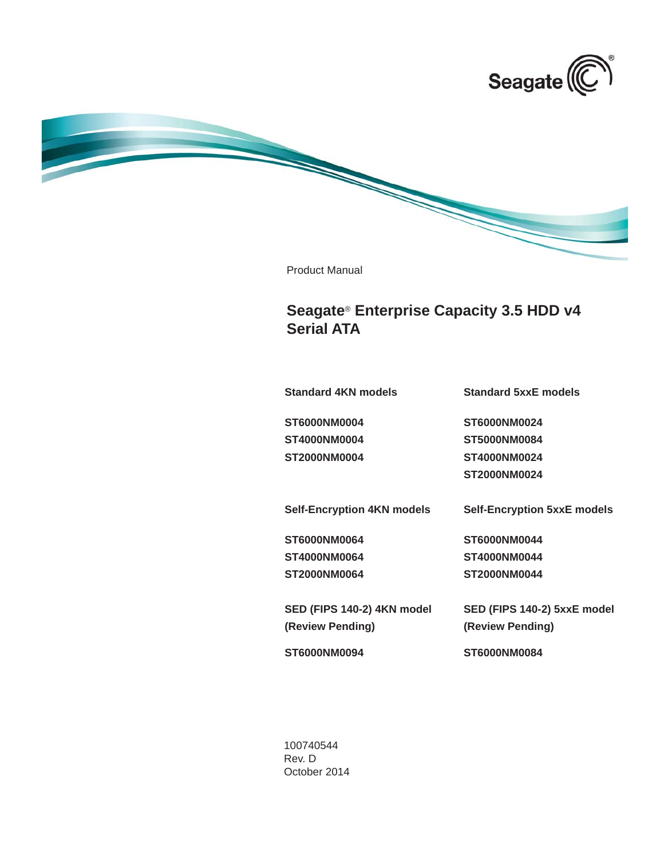



Product Manual

# **Seagate**® **Enterprise Capacity 3.5 HDD v4 Serial ATA**

**Standard 4KN models**

**Standard 5xxE models**

**ST6000NM0004 ST4000NM0004 ST2000NM0004** **ST6000NM0024 ST5000NM0084 ST4000NM0024 ST2000NM0024**

**Self-Encryption 4KN models Self-Encryption 5xxE models**

**ST6000NM0064 ST4000NM0064 ST2000NM0064** **ST6000NM0044 ST4000NM0044 ST2000NM0044**

**SED (FIPS 140-2) 5xxE model (Review Pending)** 

**ST6000NM0094**

**(Review Pending)** 

**SED (FIPS 140-2) 4KN model**

**ST6000NM0084**

100740544 Rev. D October 2014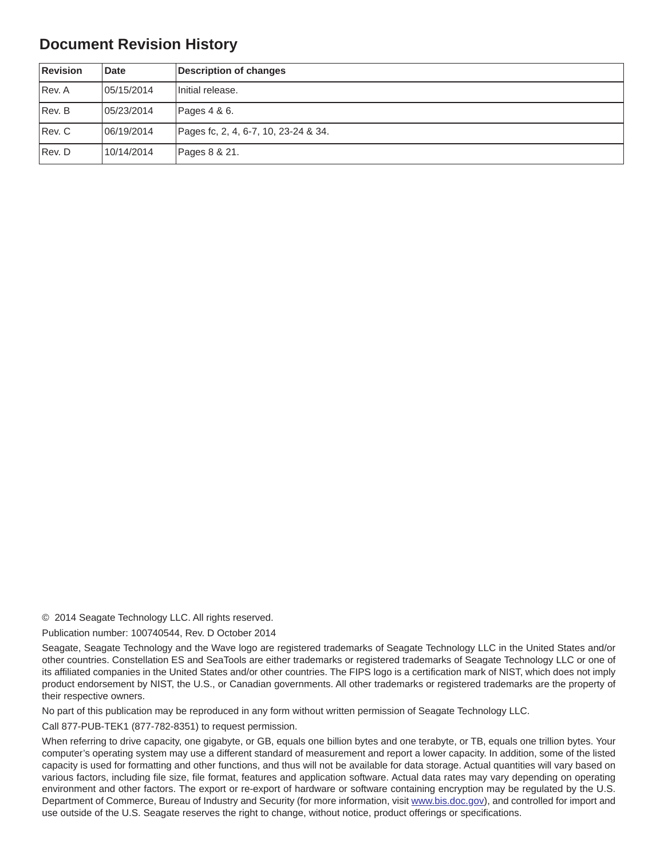## **Document Revision History**

| <b>Revision</b> | <b>Date</b> | Description of changes               |
|-----------------|-------------|--------------------------------------|
| Rev. A          | 05/15/2014  | Initial release.                     |
| Rev. B          | 05/23/2014  | Pages 4 & 6.                         |
| Rev. C          | 06/19/2014  | Pages fc, 2, 4, 6-7, 10, 23-24 & 34. |
| Rev. D          | 10/14/2014  | Pages 8 & 21.                        |

© 2014 Seagate Technology LLC. All rights reserved.

Publication number: 100740544, Rev. D October 2014

Seagate, Seagate Technology and the Wave logo are registered trademarks of Seagate Technology LLC in the United States and/or other countries. Constellation ES and SeaTools are either trademarks or registered trademarks of Seagate Technology LLC or one of its affiliated companies in the United States and/or other countries. The FIPS logo is a certification mark of NIST, which does not imply product endorsement by NIST, the U.S., or Canadian governments. All other trademarks or registered trademarks are the property of their respective owners.

No part of this publication may be reproduced in any form without written permission of Seagate Technology LLC.

Call 877-PUB-TEK1 (877-782-8351) to request permission.

When referring to drive capacity, one gigabyte, or GB, equals one billion bytes and one terabyte, or TB, equals one trillion bytes. Your computer's operating system may use a different standard of measurement and report a lower capacity. In addition, some of the listed capacity is used for formatting and other functions, and thus will not be available for data storage. Actual quantities will vary based on various factors, including file size, file format, features and application software. Actual data rates may vary depending on operating environment and other factors. The export or re-export of hardware or software containing encryption may be regulated by the U.S. Department of Commerce, Bureau of Industry and Security (for more information, visit [www.bis.doc.g](http://www.bis.doc.gov)ov), and controlled for import and use outside of the U.S. Seagate reserves the right to change, without notice, product offerings or specifications.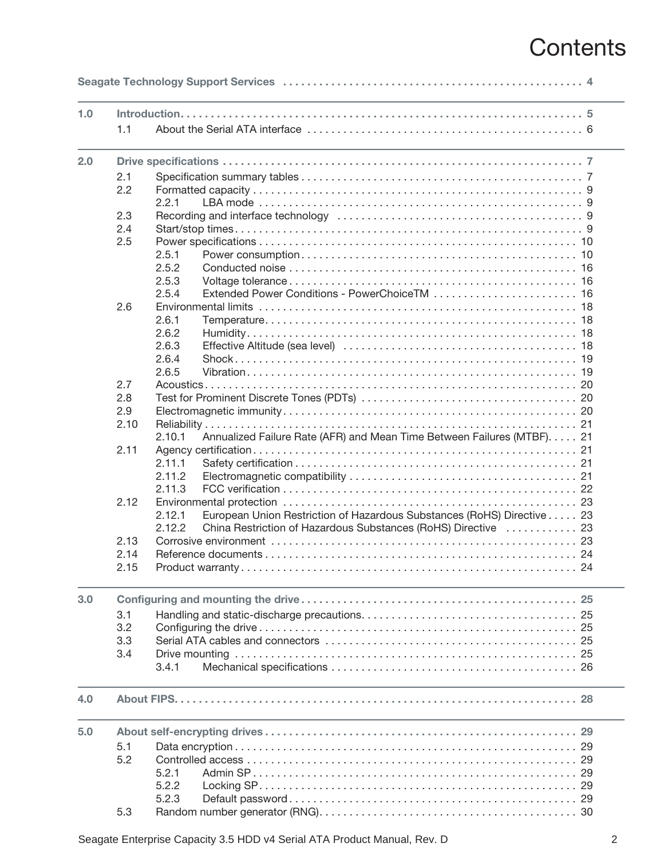# **Contents**

| 1.0 |            |                                                                                                                |
|-----|------------|----------------------------------------------------------------------------------------------------------------|
|     | 1.1        |                                                                                                                |
| 2.0 |            |                                                                                                                |
|     | 2.1        |                                                                                                                |
|     | 2.2        |                                                                                                                |
|     |            | 2.2.1                                                                                                          |
|     | 2.3        | Recording and interface technology (and intervent in the set of the set of the set of the set of the set of th |
|     | 2.4        |                                                                                                                |
|     | 2.5        |                                                                                                                |
|     |            | 2.5.1                                                                                                          |
|     |            | 2.5.2                                                                                                          |
|     |            | 2.5.3                                                                                                          |
|     |            | Extended Power Conditions - PowerChoiceTM  16<br>2.5.4                                                         |
|     | 2.6        |                                                                                                                |
|     |            | 2.6.1                                                                                                          |
|     |            | 2.6.2                                                                                                          |
|     |            | 2.6.3                                                                                                          |
|     |            | 2.6.4                                                                                                          |
|     |            | 2.6.5                                                                                                          |
|     | 2.7        |                                                                                                                |
|     | 2.8        |                                                                                                                |
|     | 2.9        |                                                                                                                |
|     | 2.10       |                                                                                                                |
|     |            | Annualized Failure Rate (AFR) and Mean Time Between Failures (MTBF). 21<br>2.10.1                              |
|     | 2.11       |                                                                                                                |
|     |            | 2.11.1                                                                                                         |
|     |            | 2.11.2                                                                                                         |
|     |            | 2.11.3                                                                                                         |
|     | 2.12       | 23                                                                                                             |
|     |            | European Union Restriction of Hazardous Substances (RoHS) Directive 23<br>2.12.1                               |
|     |            | China Restriction of Hazardous Substances (RoHS) Directive  23<br>2.12.2                                       |
|     | 2.13       |                                                                                                                |
|     | 2.14       |                                                                                                                |
|     | 2.15       |                                                                                                                |
| 3.0 |            |                                                                                                                |
|     | 3.1        |                                                                                                                |
|     | 3.2        |                                                                                                                |
|     | 3.3        |                                                                                                                |
|     | 3.4        |                                                                                                                |
|     |            | 3.4.1                                                                                                          |
| 4.0 |            |                                                                                                                |
| 5.0 |            |                                                                                                                |
|     |            |                                                                                                                |
|     | 5.1<br>5.2 |                                                                                                                |
|     |            | 5.2.1                                                                                                          |
|     |            | 5.2.2                                                                                                          |
|     |            | 5.2.3                                                                                                          |
|     | 5.3        |                                                                                                                |
|     |            |                                                                                                                |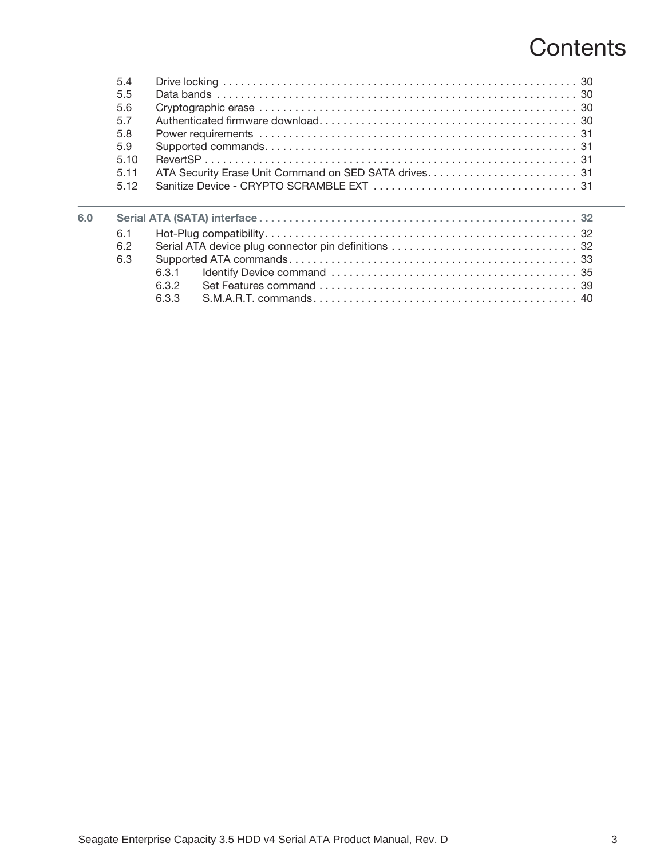# **Contents**

|     | 5.4  |       |
|-----|------|-------|
|     | 5.5  |       |
|     | 5.6  |       |
|     | 5.7  |       |
|     | 5.8  |       |
|     | 5.9  |       |
|     | 5.10 |       |
|     | 5.11 |       |
|     | 5.12 |       |
|     |      |       |
| 6.0 |      |       |
|     | 6.1  |       |
|     | 6.2  |       |
|     | 6.3  |       |
|     |      | 631   |
|     |      | 632   |
|     |      |       |
|     |      | 6.3.3 |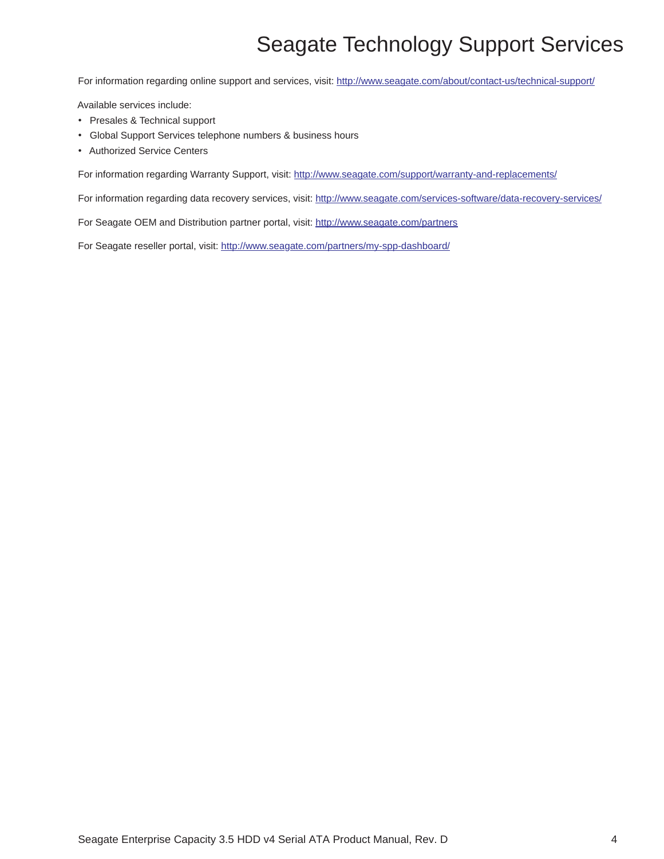# Seagate Technology Support Services

<span id="page-4-0"></span>For information regarding online support and services, visit: <http://www.seagate.com/about/contact-us/technical-support/>

Available services include:

- Presales & Technical support
- Global Support Services telephone numbers & business hours
- Authorized Service Centers

For information regarding Warranty Support, visit:<http://www.seagate.com/support/warranty-and-replacements/>

For information regarding data recovery services, visit:<http://www.seagate.com/services-software/data-recovery-services/>

For Seagate OEM and Distribution partner portal, visit:<http://www.seagate.com/partners>

[For Seagate reseller portal, visit:](http://www.seagate.com/partners/my-spp-dashboard/) http://www.seagate.com/partners/my-spp-dashboard/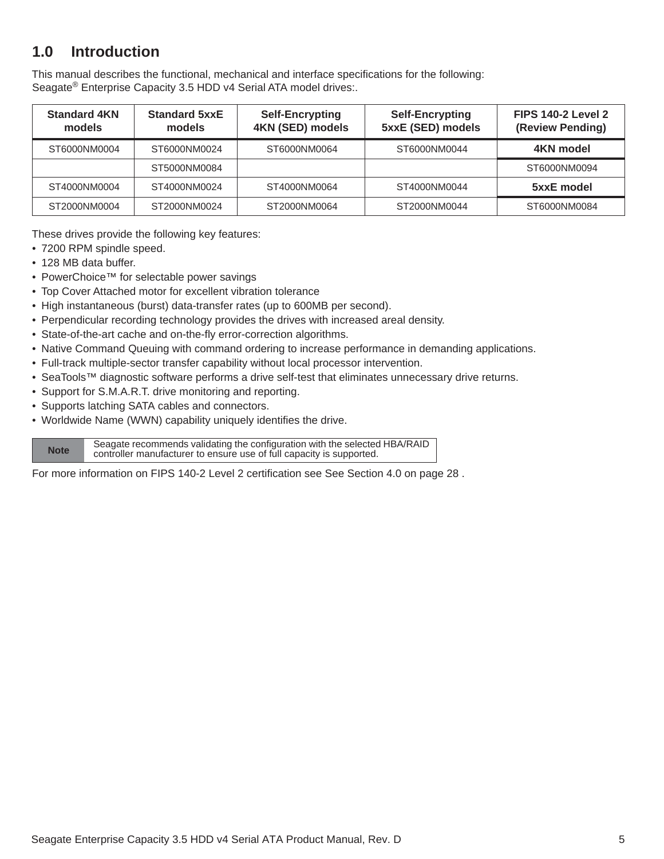# <span id="page-5-0"></span>**1.0 Introduction**

This manual describes the functional, mechanical and interface specifications for the following: Seagate<sup>®</sup> Enterprise Capacity 3.5 HDD v4 Serial ATA model drives:.

| <b>Standard 4KN</b><br>models                | <b>Standard 5xxE</b><br>models | <b>Self-Encrypting</b><br>4KN (SED) models | <b>Self-Encrypting</b><br>5xxE (SED) models | <b>FIPS 140-2 Level 2</b><br>(Review Pending) |
|----------------------------------------------|--------------------------------|--------------------------------------------|---------------------------------------------|-----------------------------------------------|
| ST6000NM0004<br>ST6000NM0024<br>ST6000NM0064 |                                | ST6000NM0044                               | 4KN model                                   |                                               |
|                                              | ST5000NM0084                   |                                            |                                             | ST6000NM0094                                  |
| ST4000NM0004                                 | ST4000NM0024                   | ST4000NM0064                               | ST4000NM0044                                | 5xxE model                                    |
| ST2000NM0004                                 | ST2000NM0024                   | ST2000NM0064                               | ST2000NM0044                                | ST6000NM0084                                  |

These drives provide the following key features:

- 7200 RPM spindle speed.
- 128 MB data buffer.
- PowerChoice™ for selectable power savings
- Top Cover Attached motor for excellent vibration tolerance
- High instantaneous (burst) data-transfer rates (up to 600MB per second).
- Perpendicular recording technology provides the drives with increased areal density.
- State-of-the-art cache and on-the-fly error-correction algorithms.
- Native Command Queuing with command ordering to increase performance in demanding applications.
- Full-track multiple-sector transfer capability without local processor intervention.
- SeaTools™ diagnostic software performs a drive self-test that eliminates unnecessary drive returns.
- Support for S.M.A.R.T. drive monitoring and reporting.
- Supports latching SATA cables and connectors.
- Worldwide Name (WWN) capability uniquely identifies the drive.

Seagate recommends validating the configuration with the selected HBA/RAID<br>Note controller menufacturer to appure use of full conseits is supported. controller manufacturer to ensure use of full capacity is supported.

For more information on FIPS 140-2 Level 2 certification see [See Section 4.0 on page 28 .](#page-28-0)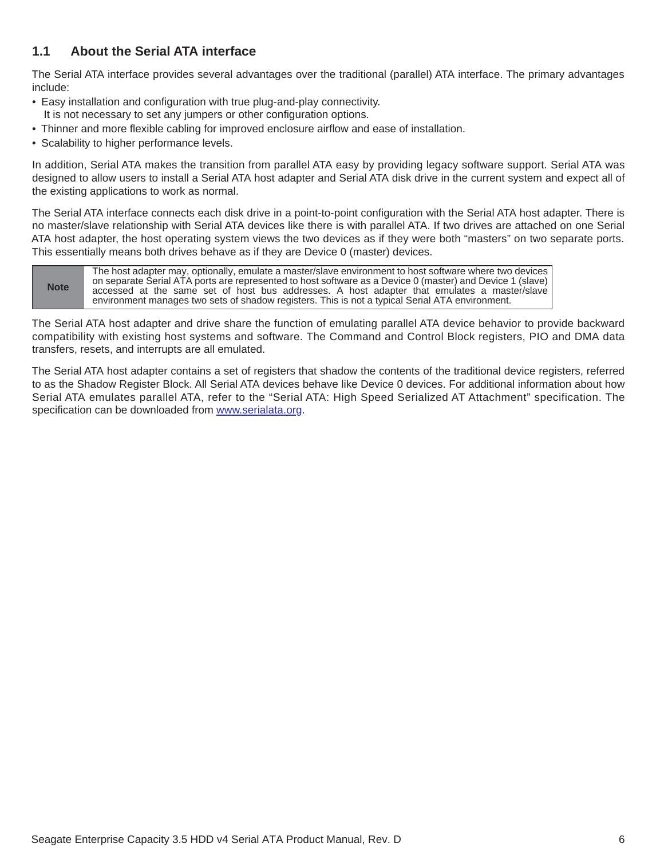### <span id="page-6-0"></span>**1.1 About the Serial ATA interface**

The Serial ATA interface provides several advantages over the traditional (parallel) ATA interface. The primary advantages include:

- Easy installation and configuration with true plug-and-play connectivity. It is not necessary to set any jumpers or other configuration options.
- Thinner and more flexible cabling for improved enclosure airflow and ease of installation.
- Scalability to higher performance levels.

In addition, Serial ATA makes the transition from parallel ATA easy by providing legacy software support. Serial ATA was designed to allow users to install a Serial ATA host adapter and Serial ATA disk drive in the current system and expect all of the existing applications to work as normal.

The Serial ATA interface connects each disk drive in a point-to-point configuration with the Serial ATA host adapter. There is no master/slave relationship with Serial ATA devices like there is with parallel ATA. If two drives are attached on one Serial ATA host adapter, the host operating system views the two devices as if they were both "masters" on two separate ports. This essentially means both drives behave as if they are Device 0 (master) devices.

**Note** The host adapter may, optionally, emulate a master/slave environment to host software where two devices on separate Serial ATA ports are represented to host software as a Device 0 (master) and Device 1 (slave) accessed at the same set of host bus addresses. A host adapter that emulates a master/slave environment manages two sets of shadow registers. This is not a typical Serial ATA environment.

The Serial ATA host adapter and drive share the function of emulating parallel ATA device behavior to provide backward compatibility with existing host systems and software. The Command and Control Block registers, PIO and DMA data transfers, resets, and interrupts are all emulated.

The Serial ATA host adapter contains a set of registers that shadow the contents of the traditional device registers, referred to as the Shadow Register Block. All Serial ATA devices behave like Device 0 devices. For additional information about how Serial ATA emulates parallel ATA, refer to the "Serial ATA: High Speed Serialized AT Attachment" specification. The specification can be downloaded from [www.serialata.or](http://www.serialata.org)g.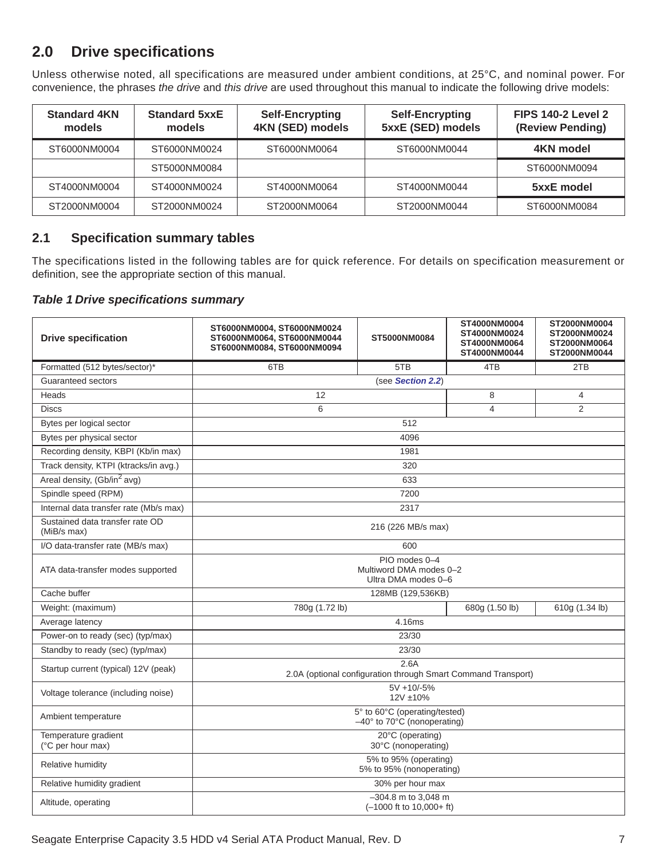# <span id="page-7-0"></span>**2.0 Drive specifications**

Unless otherwise noted, all specifications are measured under ambient conditions, at 25°C, and nominal power. For convenience, the phrases *the drive* and *this drive* are used throughout this manual to indicate the following drive models:

| <b>Standard 4KN</b><br>models | <b>Standard 5xxE</b><br>models | <b>Self-Encrypting</b><br>4KN (SED) models | <b>Self-Encrypting</b><br>5xxE (SED) models | <b>FIPS 140-2 Level 2</b><br>(Review Pending) |
|-------------------------------|--------------------------------|--------------------------------------------|---------------------------------------------|-----------------------------------------------|
| ST6000NM0004                  | ST6000NM0024                   | ST6000NM0064                               | ST6000NM0044                                | 4KN model                                     |
|                               | ST5000NM0084                   |                                            |                                             | ST6000NM0094                                  |
| ST4000NM0004                  | ST4000NM0024                   | ST4000NM0064                               | ST4000NM0044                                | 5xxE model                                    |
| ST2000NM0004                  | ST2000NM0024                   | ST2000NM0064                               | ST2000NM0044                                | ST6000NM0084                                  |

### <span id="page-7-1"></span>**2.1 Specification summary tables**

The specifications listed in the following tables are for quick reference. For details on specification measurement or definition, see the appropriate section of this manual.

#### *Table 1 Drive specifications summary*

| <b>Drive specification</b>                     | ST6000NM0004, ST6000NM0024<br>ST6000NM0064, ST6000NM0044<br>ST6000NM0084, ST6000NM0094 | ST5000NM0084                                                          | ST4000NM0004<br>ST4000NM0024<br>ST4000NM0064<br>ST4000NM0044 | ST2000NM0004<br>ST2000NM0024<br>ST2000NM0064<br>ST2000NM0044 |  |  |
|------------------------------------------------|----------------------------------------------------------------------------------------|-----------------------------------------------------------------------|--------------------------------------------------------------|--------------------------------------------------------------|--|--|
| Formatted (512 bytes/sector)*                  | 6TB                                                                                    | 5TB                                                                   | 4TB                                                          | 2TB                                                          |  |  |
| Guaranteed sectors                             |                                                                                        | (see Section 2.2)                                                     |                                                              |                                                              |  |  |
| Heads                                          | 12                                                                                     |                                                                       | 8                                                            | 4                                                            |  |  |
| <b>Discs</b>                                   | 6                                                                                      |                                                                       | 4                                                            | 2                                                            |  |  |
| Bytes per logical sector                       |                                                                                        | 512                                                                   |                                                              |                                                              |  |  |
| Bytes per physical sector                      |                                                                                        | 4096                                                                  |                                                              |                                                              |  |  |
| Recording density, KBPI (Kb/in max)            |                                                                                        | 1981                                                                  |                                                              |                                                              |  |  |
| Track density, KTPI (ktracks/in avg.)          |                                                                                        | 320                                                                   |                                                              |                                                              |  |  |
| Areal density, (Gb/in <sup>2</sup> avg)        |                                                                                        | 633                                                                   |                                                              |                                                              |  |  |
| Spindle speed (RPM)                            |                                                                                        | 7200                                                                  |                                                              |                                                              |  |  |
| Internal data transfer rate (Mb/s max)         |                                                                                        | 2317                                                                  |                                                              |                                                              |  |  |
| Sustained data transfer rate OD<br>(MiB/s max) |                                                                                        | 216 (226 MB/s max)                                                    |                                                              |                                                              |  |  |
| I/O data-transfer rate (MB/s max)              | 600                                                                                    |                                                                       |                                                              |                                                              |  |  |
| ATA data-transfer modes supported              | PIO modes 0-4<br>Multiword DMA modes 0-2<br>Ultra DMA modes 0-6                        |                                                                       |                                                              |                                                              |  |  |
| Cache buffer                                   |                                                                                        | 128MB (129,536KB)                                                     |                                                              |                                                              |  |  |
| Weight: (maximum)                              | 780g (1.72 lb)                                                                         |                                                                       | 680g (1.50 lb)                                               | 610g (1.34 lb)                                               |  |  |
| Average latency                                |                                                                                        | 4.16ms                                                                |                                                              |                                                              |  |  |
| Power-on to ready (sec) (typ/max)              |                                                                                        | 23/30                                                                 |                                                              |                                                              |  |  |
| Standby to ready (sec) (typ/max)               |                                                                                        | 23/30                                                                 |                                                              |                                                              |  |  |
| Startup current (typical) 12V (peak)           |                                                                                        | 2.6A<br>2.0A (optional configuration through Smart Command Transport) |                                                              |                                                              |  |  |
| Voltage tolerance (including noise)            | $5V + 10/ -5%$<br>12V ±10%                                                             |                                                                       |                                                              |                                                              |  |  |
| Ambient temperature                            | 5° to 60°C (operating/tested)<br>$-40^\circ$ to 70 $\degree$ C (nonoperating)          |                                                                       |                                                              |                                                              |  |  |
| Temperature gradient<br>(°C per hour max)      | 20°C (operating)<br>30°C (nonoperating)                                                |                                                                       |                                                              |                                                              |  |  |
| Relative humidity                              | 5% to 95% (operating)<br>5% to 95% (nonoperating)                                      |                                                                       |                                                              |                                                              |  |  |
| Relative humidity gradient                     |                                                                                        | 30% per hour max                                                      |                                                              |                                                              |  |  |
| Altitude, operating                            |                                                                                        | $-304.8$ m to 3,048 m<br>$(-1000$ ft to $10,000+$ ft)                 |                                                              |                                                              |  |  |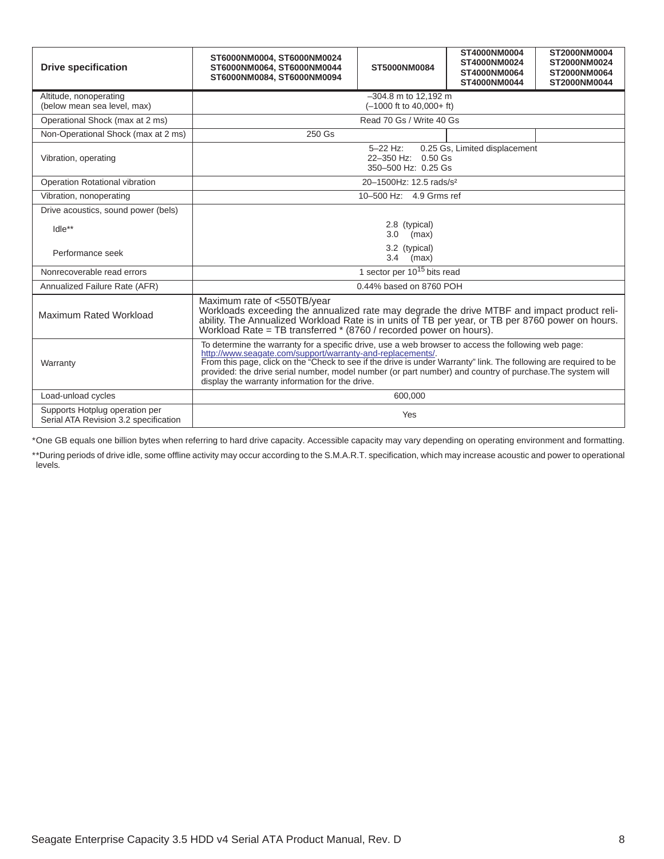| <b>Drive specification</b>                                              | ST6000NM0004, ST6000NM0024<br>ST6000NM0064, ST6000NM0044<br>ST6000NM0084. ST6000NM0094                                                                                                                                                                                                                                                                                                                                                                 | ST5000NM0084                            | ST4000NM0004<br>ST4000NM0024<br>ST4000NM0064<br>ST4000NM0044 | ST2000NM0004<br>ST2000NM0024<br>ST2000NM0064<br>ST2000NM0044 |  |
|-------------------------------------------------------------------------|--------------------------------------------------------------------------------------------------------------------------------------------------------------------------------------------------------------------------------------------------------------------------------------------------------------------------------------------------------------------------------------------------------------------------------------------------------|-----------------------------------------|--------------------------------------------------------------|--------------------------------------------------------------|--|
| Altitude, nonoperating<br>(below mean sea level, max)                   | $-304.8$ m to 12.192 m<br>$(-1000$ ft to $40,000+$ ft)                                                                                                                                                                                                                                                                                                                                                                                                 |                                         |                                                              |                                                              |  |
| Operational Shock (max at 2 ms)                                         |                                                                                                                                                                                                                                                                                                                                                                                                                                                        | Read 70 Gs / Write 40 Gs                |                                                              |                                                              |  |
| Non-Operational Shock (max at 2 ms)                                     | 250 Gs                                                                                                                                                                                                                                                                                                                                                                                                                                                 |                                         |                                                              |                                                              |  |
| Vibration, operating                                                    | 5-22 Hz:<br>0.25 Gs, Limited displacement<br>22-350 Hz: 0.50 Gs<br>350-500 Hz: 0.25 Gs                                                                                                                                                                                                                                                                                                                                                                 |                                         |                                                              |                                                              |  |
| Operation Rotational vibration                                          |                                                                                                                                                                                                                                                                                                                                                                                                                                                        | 20-1500Hz: 12.5 rads/s <sup>2</sup>     |                                                              |                                                              |  |
| Vibration, nonoperating                                                 |                                                                                                                                                                                                                                                                                                                                                                                                                                                        | 10-500 Hz: 4.9 Grms ref                 |                                                              |                                                              |  |
| Drive acoustics, sound power (bels)                                     |                                                                                                                                                                                                                                                                                                                                                                                                                                                        |                                         |                                                              |                                                              |  |
| $I$ dle $**$                                                            | 2.8 (typical)<br>3.0<br>(max)                                                                                                                                                                                                                                                                                                                                                                                                                          |                                         |                                                              |                                                              |  |
| Performance seek                                                        | 3.2 (typical)<br>3.4<br>(max)                                                                                                                                                                                                                                                                                                                                                                                                                          |                                         |                                                              |                                                              |  |
| Nonrecoverable read errors                                              |                                                                                                                                                                                                                                                                                                                                                                                                                                                        | 1 sector per 10 <sup>15</sup> bits read |                                                              |                                                              |  |
| Annualized Failure Rate (AFR)                                           |                                                                                                                                                                                                                                                                                                                                                                                                                                                        | 0.44% based on 8760 POH                 |                                                              |                                                              |  |
| Maximum Rated Workload                                                  | Maximum rate of <550TB/year<br>Workloads exceeding the annualized rate may degrade the drive MTBF and impact product reli-<br>ability. The Annualized Workload Rate is in units of TB per year, or TB per 8760 power on hours.<br>Workload Rate = TB transferred * (8760 / recorded power on hours).                                                                                                                                                   |                                         |                                                              |                                                              |  |
| Warranty                                                                | To determine the warranty for a specific drive, use a web browser to access the following web page:<br>http://www.seagate.com/support/warranty-and-replacements/.<br>From this page, click on the "Check to see if the drive is under Warranty" link. The following are required to be<br>provided: the drive serial number, model number (or part number) and country of purchase. The system will<br>display the warranty information for the drive. |                                         |                                                              |                                                              |  |
| Load-unload cycles                                                      |                                                                                                                                                                                                                                                                                                                                                                                                                                                        | 600,000                                 |                                                              |                                                              |  |
| Supports Hotplug operation per<br>Serial ATA Revision 3.2 specification | Yes                                                                                                                                                                                                                                                                                                                                                                                                                                                    |                                         |                                                              |                                                              |  |

\*One GB equals one billion bytes when referring to hard drive capacity. Accessible capacity may vary depending on operating environment and formatting.

\*\*During periods of drive idle, some offline activity may occur according to the S.M.A.R.T. specification, which may increase acoustic and power to operational levels*.*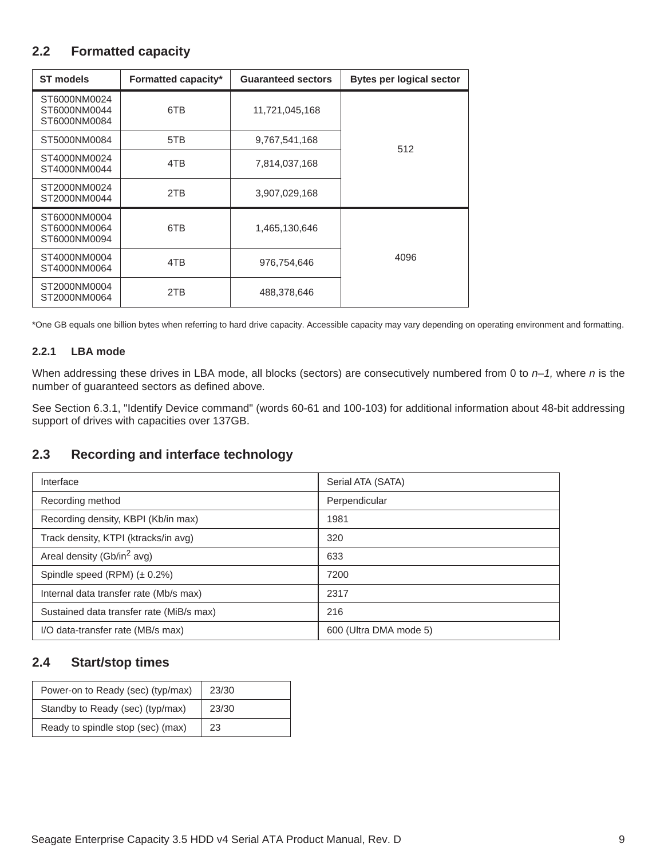### <span id="page-9-0"></span>**2.2 Formatted capacity**

| <b>ST models</b>                             | Formatted capacity* | <b>Guaranteed sectors</b> | <b>Bytes per logical sector</b> |
|----------------------------------------------|---------------------|---------------------------|---------------------------------|
| ST6000NM0024<br>ST6000NM0044<br>ST6000NM0084 | 6TB                 | 11,721,045,168            |                                 |
| ST5000NM0084                                 | 5TB                 | 9,767,541,168             | 512                             |
| ST4000NM0024<br>ST4000NM0044                 | 4TB                 | 7,814,037,168             |                                 |
| ST2000NM0024<br>ST2000NM0044                 | 2TB                 | 3,907,029,168             |                                 |
| ST6000NM0004<br>ST6000NM0064<br>ST6000NM0094 | 6TB                 | 1,465,130,646             |                                 |
| ST4000NM0004<br>ST4000NM0064                 | 4TB                 | 976,754,646               | 4096                            |
| ST2000NM0004<br>ST2000NM0064                 | 2TB                 | 488,378,646               |                                 |

\*One GB equals one billion bytes when referring to hard drive capacity. Accessible capacity may vary depending on operating environment and formatting.

#### <span id="page-9-1"></span>**2.2.1 LBA mode**

When addressing these drives in LBA mode, all blocks (sectors) are consecutively numbered from 0 to *n–1,* where *n* is the number of guaranteed sectors as defined above*.*

See [Section 6.3.1, "Identify Device command"](#page-35-0) (words 60-61 and 100-103) for additional information about 48-bit addressing support of drives with capacities over 137GB.

### <span id="page-9-2"></span>**2.3 Recording and interface technology**

| Interface                                | Serial ATA (SATA)      |
|------------------------------------------|------------------------|
| Recording method                         | Perpendicular          |
| Recording density, KBPI (Kb/in max)      | 1981                   |
| Track density, KTPI (ktracks/in avg)     | 320                    |
| Areal density (Gb/in <sup>2</sup> avg)   | 633                    |
| Spindle speed (RPM) $(\pm 0.2\%)$        | 7200                   |
| Internal data transfer rate (Mb/s max)   | 2317                   |
| Sustained data transfer rate (MiB/s max) | 216                    |
| I/O data-transfer rate (MB/s max)        | 600 (Ultra DMA mode 5) |

### <span id="page-9-3"></span>**2.4 Start/stop times**

| Power-on to Ready (sec) (typ/max) | 23/30 |
|-----------------------------------|-------|
| Standby to Ready (sec) (typ/max)  | 23/30 |
| Ready to spindle stop (sec) (max) | 23    |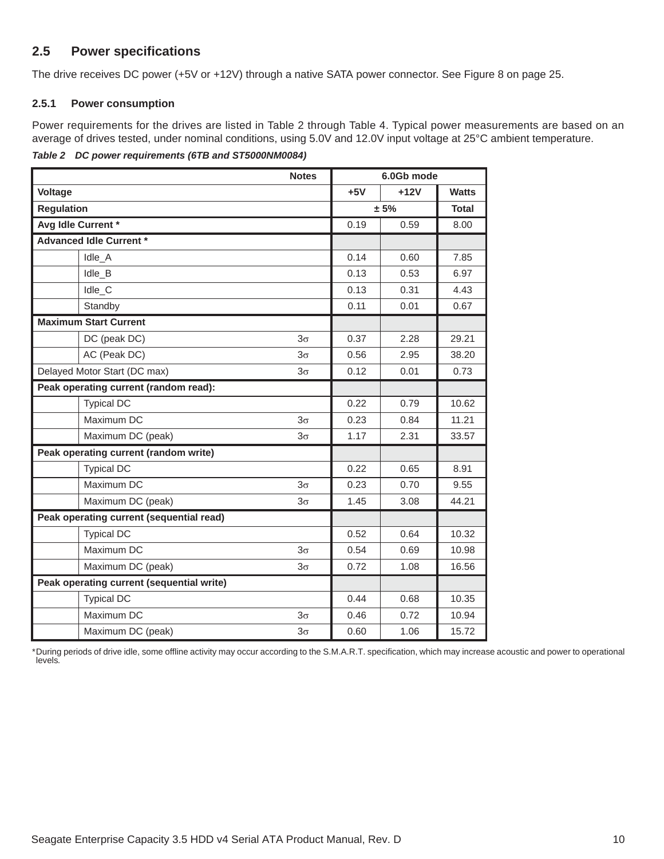### <span id="page-10-0"></span>**2.5 Power specifications**

The drive receives DC power (+5V or +12V) through a native SATA power connector. See Figure [8](#page-25-5) on [page](#page-25-5) [25.](#page-25-5)

#### <span id="page-10-1"></span>**2.5.1 Power consumption**

Power requirements for the drives are listed in [Table 2](#page-10-2) through [Table 4.](#page-12-0) Typical power measurements are based on an average of drives tested, under nominal conditions, using 5.0V and 12.0V input voltage at 25°C ambient temperature.

<span id="page-10-2"></span>*Table 2 DC power requirements (6TB and ST5000NM0084)*

|                                           | <b>Notes</b> | 6.0Gb mode |        |              |
|-------------------------------------------|--------------|------------|--------|--------------|
| <b>Voltage</b>                            |              | $+5V$      | $+12V$ | <b>Watts</b> |
| <b>Regulation</b>                         |              | ± 5%       |        | <b>Total</b> |
| Avg Idle Current *                        |              | 0.19       | 0.59   | 8.00         |
| <b>Advanced Idle Current *</b>            |              |            |        |              |
| Idle A                                    |              | 0.14       | 0.60   | 7.85         |
| Idle_B                                    |              | 0.13       | 0.53   | 6.97         |
| Idle_C                                    |              | 0.13       | 0.31   | 4.43         |
| Standby                                   |              | 0.11       | 0.01   | 0.67         |
| <b>Maximum Start Current</b>              |              |            |        |              |
| DC (peak DC)                              | $3\sigma$    | 0.37       | 2.28   | 29.21        |
| AC (Peak DC)                              | $3\sigma$    | 0.56       | 2.95   | 38.20        |
| Delayed Motor Start (DC max)              | $3\sigma$    | 0.12       | 0.01   | 0.73         |
| Peak operating current (random read):     |              |            |        |              |
| <b>Typical DC</b>                         |              | 0.22       | 0.79   | 10.62        |
| Maximum DC                                | $3\sigma$    | 0.23       | 0.84   | 11.21        |
| Maximum DC (peak)                         | $3\sigma$    | 1.17       | 2.31   | 33.57        |
| Peak operating current (random write)     |              |            |        |              |
| <b>Typical DC</b>                         |              | 0.22       | 0.65   | 8.91         |
| Maximum DC                                | $3\sigma$    | 0.23       | 0.70   | 9.55         |
| Maximum DC (peak)                         | $3\sigma$    | 1.45       | 3.08   | 44.21        |
| Peak operating current (sequential read)  |              |            |        |              |
| <b>Typical DC</b>                         |              | 0.52       | 0.64   | 10.32        |
| Maximum DC                                | $3\sigma$    | 0.54       | 0.69   | 10.98        |
| Maximum DC (peak)<br>$3\sigma$            |              | 0.72       | 1.08   | 16.56        |
| Peak operating current (sequential write) |              |            |        |              |
| <b>Typical DC</b>                         |              | 0.44       | 0.68   | 10.35        |
| Maximum DC                                | $3\sigma$    | 0.46       | 0.72   | 10.94        |
| Maximum DC (peak)                         | $3\sigma$    | 0.60       | 1.06   | 15.72        |

\*During periods of drive idle, some offline activity may occur according to the S.M.A.R.T. specification, which may increase acoustic and power to operational levels*.*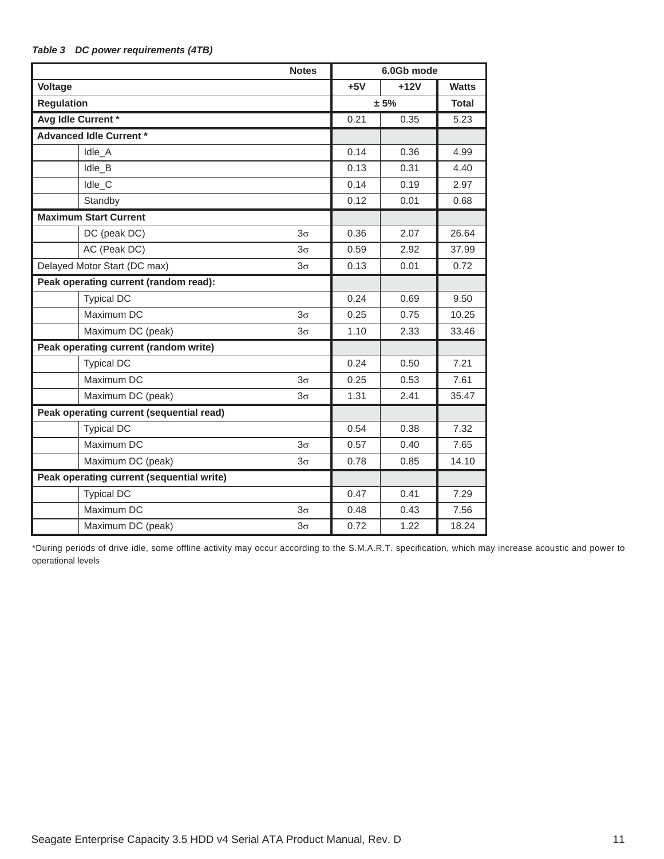|                                           | <b>Notes</b> |  | 6.0Gb mode |        |              |
|-------------------------------------------|--------------|--|------------|--------|--------------|
| Voltage                                   |              |  | $+5V$      | $+12V$ | <b>Watts</b> |
| <b>Regulation</b>                         |              |  |            | ± 5%   | <b>Total</b> |
| Avg Idle Current *                        |              |  | 0.21       | 0.35   | 5.23         |
| <b>Advanced Idle Current *</b>            |              |  |            |        |              |
| Idle_A                                    |              |  | 0.14       | 0.36   | 4.99         |
| Idle B                                    |              |  | 0.13       | 0.31   | 4.40         |
| Idle_C                                    |              |  | 0.14       | 0.19   | 2.97         |
| Standby                                   |              |  | 0.12       | 0.01   | 0.68         |
| <b>Maximum Start Current</b>              |              |  |            |        |              |
| DC (peak DC)                              | $3\sigma$    |  | 0.36       | 2.07   | 26.64        |
| AC (Peak DC)                              | $3\sigma$    |  | 0.59       | 2.92   | 37.99        |
| Delayed Motor Start (DC max)              | $3\sigma$    |  | 0.13       | 0.01   | 0.72         |
| Peak operating current (random read):     |              |  |            |        |              |
| <b>Typical DC</b>                         |              |  | 0.24       | 0.69   | 9.50         |
| Maximum DC                                | $3\sigma$    |  | 0.25       | 0.75   | 10.25        |
| Maximum DC (peak)                         | $3\sigma$    |  | 1.10       | 2.33   | 33.46        |
| Peak operating current (random write)     |              |  |            |        |              |
| <b>Typical DC</b>                         |              |  | 0.24       | 0.50   | 7.21         |
| Maximum DC                                | $3\sigma$    |  | 0.25       | 0.53   | 7.61         |
| Maximum DC (peak)                         | $3\sigma$    |  | 1.31       | 2.41   | 35.47        |
| Peak operating current (sequential read)  |              |  |            |        |              |
| <b>Typical DC</b>                         |              |  | 0.54       | 0.38   | 7.32         |
| Maximum DC                                | $3\sigma$    |  | 0.57       | 0.40   | 7.65         |
| Maximum DC (peak)                         | $3\sigma$    |  | 0.78       | 0.85   | 14.10        |
| Peak operating current (sequential write) |              |  |            |        |              |
| <b>Typical DC</b>                         |              |  | 0.47       | 0.41   | 7.29         |
| Maximum DC                                | $3\sigma$    |  | 0.48       | 0.43   | 7.56         |
| Maximum DC (peak)                         | $3\sigma$    |  | 0.72       | 1.22   | 18.24        |

#### *Table 3 DC power requirements (4TB)*

\*During periods of drive idle, some offline activity may occur according to the S.M.A.R.T. specification, which may increase acoustic and power to operational levels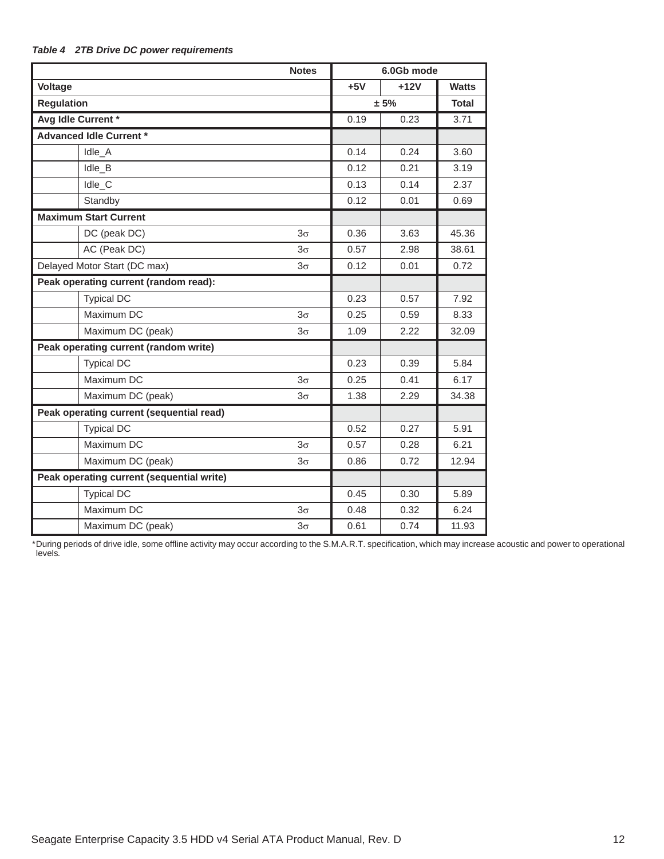| <b>Notes</b>                              |           | 6.0Gb mode |        |              |
|-------------------------------------------|-----------|------------|--------|--------------|
| <b>Voltage</b>                            |           | $+5V$      | $+12V$ | <b>Watts</b> |
| <b>Regulation</b>                         |           | ± 5%       |        | <b>Total</b> |
| Avg Idle Current *                        |           | 0.19       | 0.23   | 3.71         |
| <b>Advanced Idle Current *</b>            |           |            |        |              |
| Idle_A                                    |           | 0.14       | 0.24   | 3.60         |
| Idle_B                                    |           | 0.12       | 0.21   | 3.19         |
| Idle_C                                    |           | 0.13       | 0.14   | 2.37         |
| Standby                                   |           | 0.12       | 0.01   | 0.69         |
| <b>Maximum Start Current</b>              |           |            |        |              |
| DC (peak DC)                              | $3\sigma$ | 0.36       | 3.63   | 45.36        |
| AC (Peak DC)                              | $3\sigma$ | 0.57       | 2.98   | 38.61        |
| Delayed Motor Start (DC max)              | $3\sigma$ | 0.12       | 0.01   | 0.72         |
| Peak operating current (random read):     |           |            |        |              |
| <b>Typical DC</b>                         |           | 0.23       | 0.57   | 7.92         |
| Maximum DC                                | $3\sigma$ | 0.25       | 0.59   | 8.33         |
| Maximum DC (peak)                         | $3\sigma$ | 1.09       | 2.22   | 32.09        |
| Peak operating current (random write)     |           |            |        |              |
| <b>Typical DC</b>                         |           | 0.23       | 0.39   | 5.84         |
| Maximum DC                                | $3\sigma$ | 0.25       | 0.41   | 6.17         |
| Maximum DC (peak)                         | $3\sigma$ | 1.38       | 2.29   | 34.38        |
| Peak operating current (sequential read)  |           |            |        |              |
| <b>Typical DC</b>                         |           | 0.52       | 0.27   | 5.91         |
| Maximum DC                                | $3\sigma$ | 0.57       | 0.28   | 6.21         |
| Maximum DC (peak)                         | $3\sigma$ | 0.86       | 0.72   | 12.94        |
| Peak operating current (sequential write) |           |            |        |              |
| <b>Typical DC</b>                         |           | 0.45       | 0.30   | 5.89         |
| Maximum DC                                | $3\sigma$ | 0.48       | 0.32   | 6.24         |
| Maximum DC (peak)                         | $3\sigma$ | 0.61       | 0.74   | 11.93        |

#### <span id="page-12-0"></span>*Table 4 2TB Drive DC power requirements*

\*During periods of drive idle, some offline activity may occur according to the S.M.A.R.T. specification, which may increase acoustic and power to operational levels*.*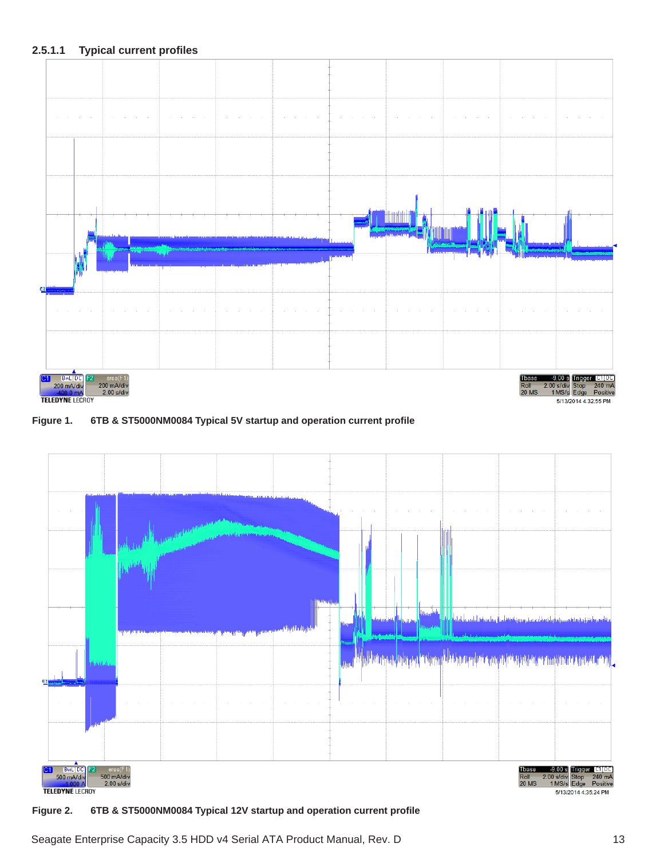

**Figure 1. 6TB & ST5000NM0084 Typical 5V startup and operation current profile**



**Figure 2. 6TB & ST5000NM0084 Typical 12V startup and operation current profile**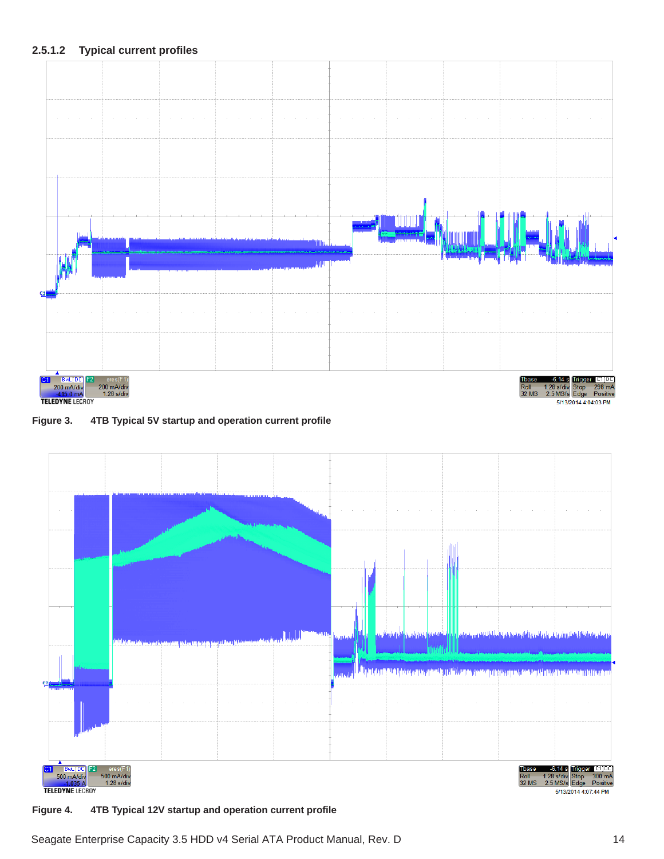

**Figure 3. 4TB Typical 5V startup and operation current profile**



**Figure 4. 4TB Typical 12V startup and operation current profile**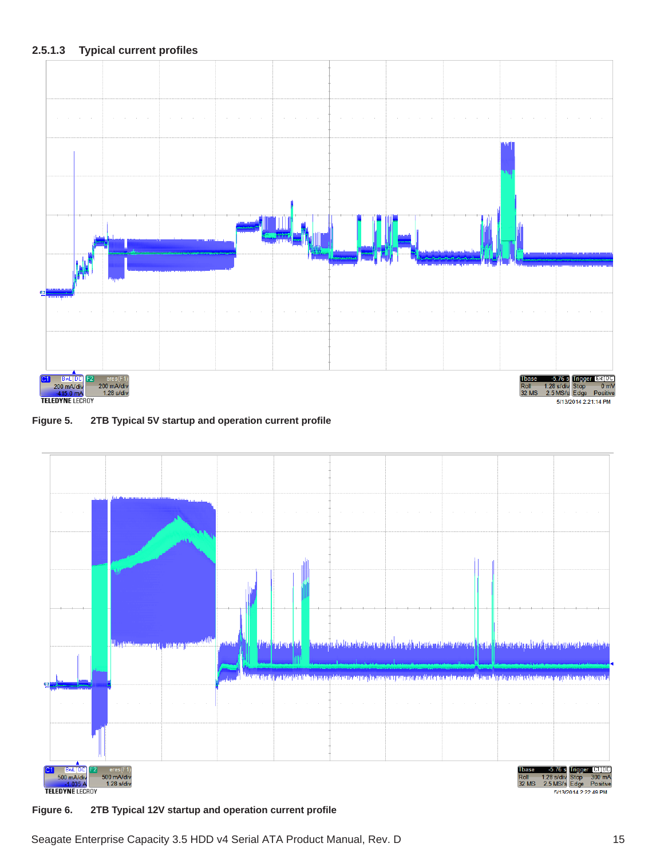

**Figure 5. 2TB Typical 5V startup and operation current profile**



**Figure 6. 2TB Typical 12V startup and operation current profile**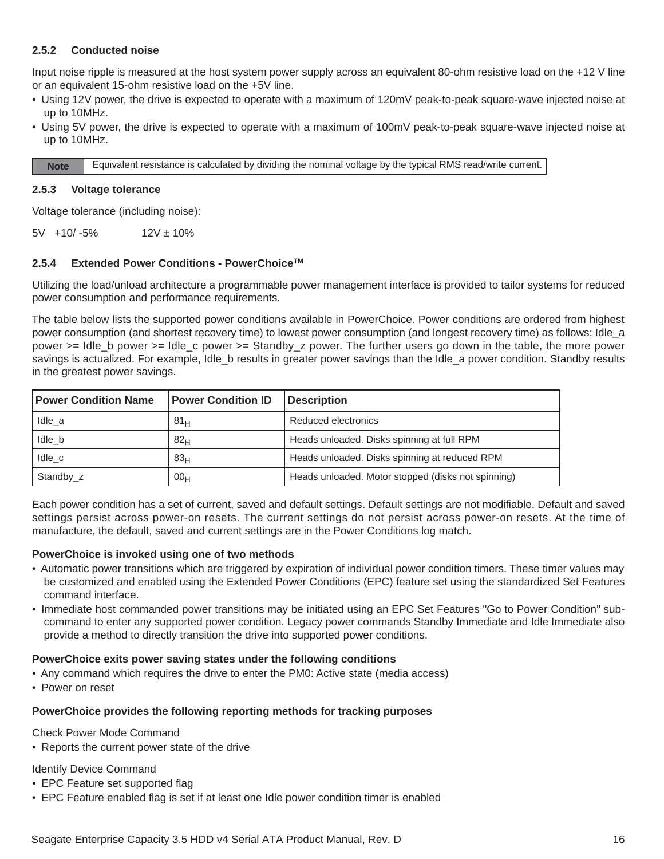#### <span id="page-16-0"></span>**2.5.2 Conducted noise**

Input noise ripple is measured at the host system power supply across an equivalent 80-ohm resistive load on the +12 V line or an equivalent 15-ohm resistive load on the +5V line.

- Using 12V power, the drive is expected to operate with a maximum of 120mV peak-to-peak square-wave injected noise at up to 10MHz.
- Using 5V power, the drive is expected to operate with a maximum of 100mV peak-to-peak square-wave injected noise at up to 10MHz.

**Note** Equivalent resistance is calculated by dividing the nominal voltage by the typical RMS read/write current.

#### <span id="page-16-1"></span>**2.5.3 Voltage tolerance**

Voltage tolerance (including noise):

 $5V +10/-5%$  12V ± 10%

#### <span id="page-16-2"></span>**2.5.4 Extended Power Conditions - PowerChoiceTM**

Utilizing the load/unload architecture a programmable power management interface is provided to tailor systems for reduced power consumption and performance requirements.

The table below lists the supported power conditions available in PowerChoice. Power conditions are ordered from highest power consumption (and shortest recovery time) to lowest power consumption (and longest recovery time) as follows: Idle\_a power >= Idle\_b power >= Idle\_c power >= Standby\_z power. The further users go down in the table, the more power savings is actualized. For example, Idle\_b results in greater power savings than the Idle\_a power condition. Standby results in the greatest power savings.

| <b>Power Condition Name</b> | <b>Power Condition ID</b> | <b>Description</b>                                 |
|-----------------------------|---------------------------|----------------------------------------------------|
| Idle a                      | 81 <sub>H</sub>           | Reduced electronics                                |
| Idle b                      | 82 <sub>H</sub>           | Heads unloaded. Disks spinning at full RPM         |
| Idle c                      | 83 <sub>H</sub>           | Heads unloaded. Disks spinning at reduced RPM      |
| Standby_z                   | 00 <sub>H</sub>           | Heads unloaded. Motor stopped (disks not spinning) |

Each power condition has a set of current, saved and default settings. Default settings are not modifiable. Default and saved settings persist across power-on resets. The current settings do not persist across power-on resets. At the time of manufacture, the default, saved and current settings are in the Power Conditions log match.

#### **PowerChoice is invoked using one of two methods**

- Automatic power transitions which are triggered by expiration of individual power condition timers. These timer values may be customized and enabled using the Extended Power Conditions (EPC) feature set using the standardized Set Features command interface.
- Immediate host commanded power transitions may be initiated using an EPC Set Features "Go to Power Condition" subcommand to enter any supported power condition. Legacy power commands Standby Immediate and Idle Immediate also provide a method to directly transition the drive into supported power conditions.

#### **PowerChoice exits power saving states under the following conditions**

- Any command which requires the drive to enter the PM0: Active state (media access)
- Power on reset

#### **PowerChoice provides the following reporting methods for tracking purposes**

Check Power Mode Command

• Reports the current power state of the drive

Identify Device Command

- EPC Feature set supported flag
- EPC Feature enabled flag is set if at least one Idle power condition timer is enabled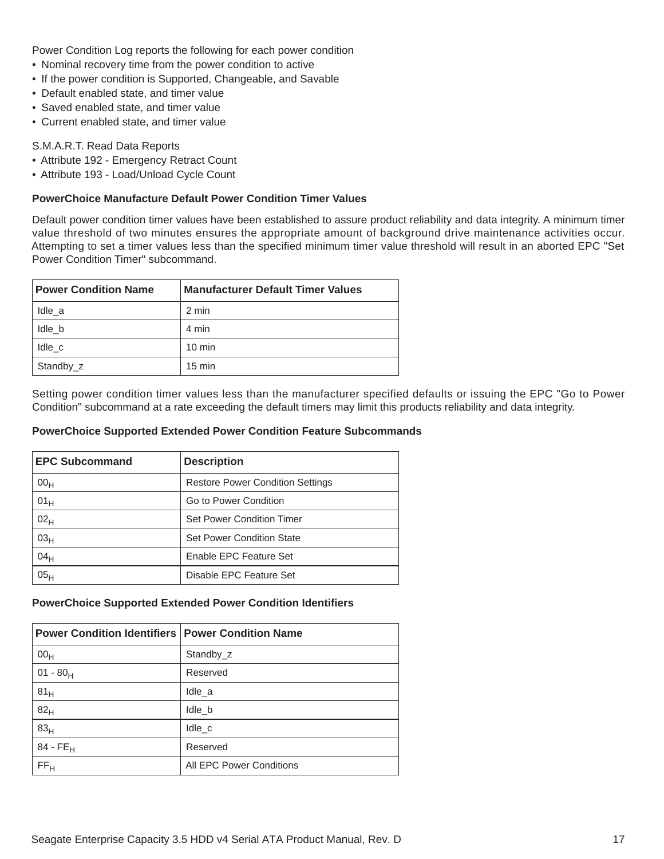Power Condition Log reports the following for each power condition

- Nominal recovery time from the power condition to active
- If the power condition is Supported, Changeable, and Savable
- Default enabled state, and timer value
- Saved enabled state, and timer value
- Current enabled state, and timer value

#### S.M.A.R.T. Read Data Reports

- Attribute 192 Emergency Retract Count
- Attribute 193 Load/Unload Cycle Count

#### **PowerChoice Manufacture Default Power Condition Timer Values**

Default power condition timer values have been established to assure product reliability and data integrity. A minimum timer value threshold of two minutes ensures the appropriate amount of background drive maintenance activities occur. Attempting to set a timer values less than the specified minimum timer value threshold will result in an aborted EPC "Set Power Condition Timer" subcommand.

| <b>Power Condition Name</b> | <b>Manufacturer Default Timer Values</b> |
|-----------------------------|------------------------------------------|
| Idle a                      | 2 min                                    |
| Idle b                      | 4 min                                    |
| Idle c                      | $10 \text{ min}$                         |
| Standby_z                   | $15 \text{ min}$                         |

Setting power condition timer values less than the manufacturer specified defaults or issuing the EPC "Go to Power Condition" subcommand at a rate exceeding the default timers may limit this products reliability and data integrity.

#### **PowerChoice Supported Extended Power Condition Feature Subcommands**

| <b>EPC Subcommand</b> | <b>Description</b>                      |  |
|-----------------------|-----------------------------------------|--|
| 00 <sub>H</sub>       | <b>Restore Power Condition Settings</b> |  |
| 01 <sub>H</sub>       | Go to Power Condition                   |  |
| 02 <sub>H</sub>       | <b>Set Power Condition Timer</b>        |  |
| 03 <sub>H</sub>       | <b>Set Power Condition State</b>        |  |
| 04 <sub>H</sub>       | Enable EPC Feature Set                  |  |
| 05 <sub>H</sub>       | Disable EPC Feature Set                 |  |

#### **PowerChoice Supported Extended Power Condition Identifiers**

| <b>Power Condition Identifiers   Power Condition Name</b> |                          |
|-----------------------------------------------------------|--------------------------|
| 00 <sub>H</sub>                                           | Standby z                |
| $01 - 80H$                                                | Reserved                 |
| 81 <sub>H</sub>                                           | Idle a                   |
| 82 <sub>H</sub>                                           | Idle_b                   |
| 83 <sub>H</sub>                                           | Idle c                   |
| $84 - FE_H$                                               | Reserved                 |
| FF <sub>H</sub>                                           | All EPC Power Conditions |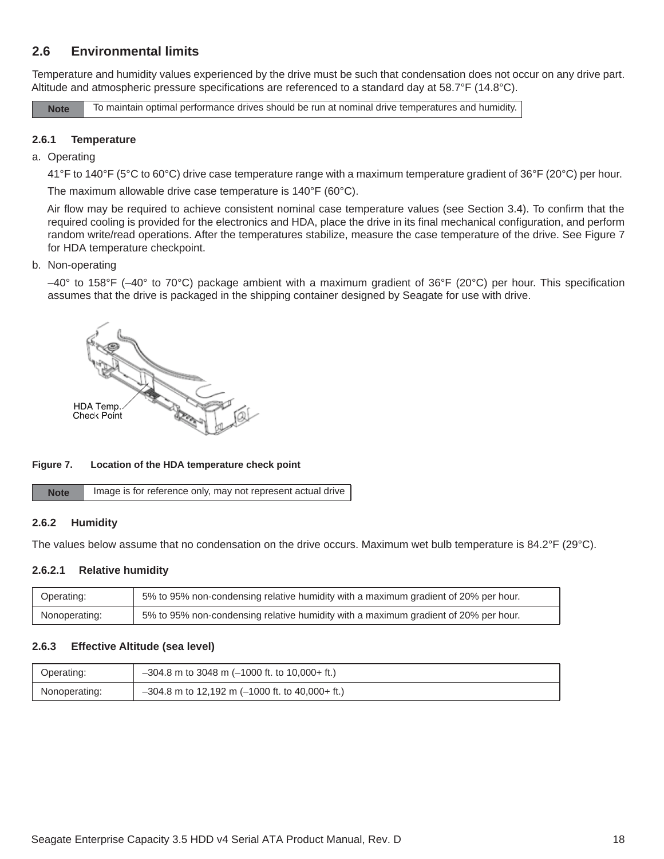### <span id="page-18-0"></span>**2.6 Environmental limits**

Temperature and humidity values experienced by the drive must be such that condensation does not occur on any drive part. Altitude and atmospheric pressure specifications are referenced to a standard day at 58.7°F (14.8°C).

**Note** To maintain optimal performance drives should be run at nominal drive temperatures and humidity.

#### <span id="page-18-1"></span>**2.6.1 Temperature**

#### a. Operating

41°F to 140°F (5°C to 60°C) drive case temperature range with a maximum temperature gradient of 36°F (20°C) per hour.

The maximum allowable drive case temperature is 140°F (60°C).

Air flow may be required to achieve consistent nominal case temperature values (see Section [3.4](#page-25-4)). To confirm that the required cooling is provided for the electronics and HDA, place the drive in its final mechanical configuration, and perform random write/read operations. After the temperatures stabilize, measure the case temperature of the drive. See Figure [7](#page-18-4) for HDA temperature checkpoint.

#### b. Non-operating

–40° to 158°F (–40° to 70°C) package ambient with a maximum gradient of 36°F (20°C) per hour. This specification assumes that the drive is packaged in the shipping container designed by Seagate for use with drive.



#### <span id="page-18-4"></span>**Figure 7. Location of the HDA temperature check point**

| <b>Note</b> | Image is for reference only, may not represent actual drive |
|-------------|-------------------------------------------------------------|
|-------------|-------------------------------------------------------------|

#### <span id="page-18-2"></span>**2.6.2 Humidity**

The values below assume that no condensation on the drive occurs. Maximum wet bulb temperature is 84.2°F (29°C).

#### **2.6.2.1 Relative humidity**

| Operating:    | 5% to 95% non-condensing relative humidity with a maximum gradient of 20% per hour. |
|---------------|-------------------------------------------------------------------------------------|
| Nonoperating: | 5% to 95% non-condensing relative humidity with a maximum gradient of 20% per hour. |

#### <span id="page-18-3"></span>**2.6.3 Effective Altitude (sea level)**

| Operating:    | $-304.8$ m to 3048 m (-1000 ft. to 10,000+ ft.)   |
|---------------|---------------------------------------------------|
| Nonoperating: | $-304.8$ m to 12,192 m (-1000 ft. to 40,000+ ft.) |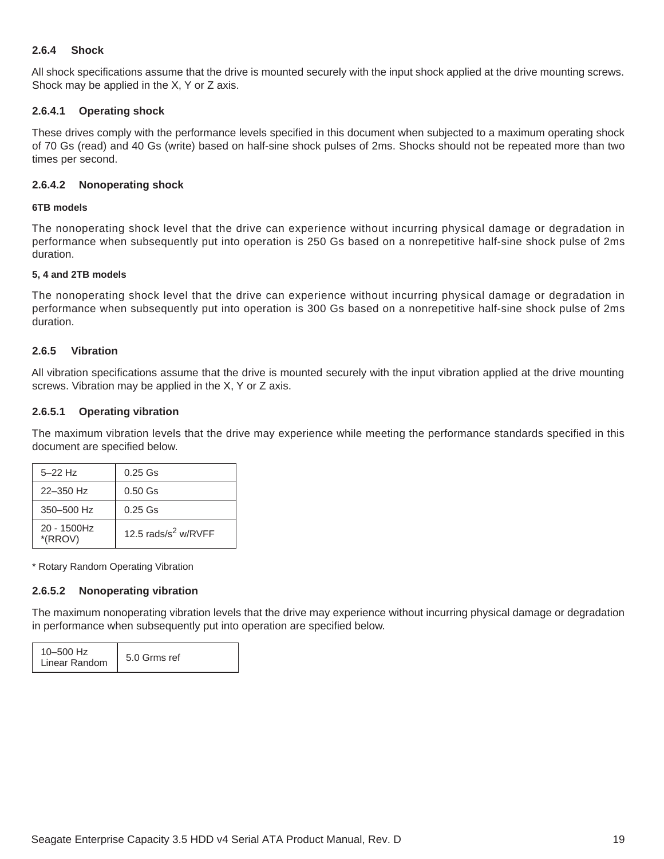#### <span id="page-19-0"></span>**2.6.4 Shock**

All shock specifications assume that the drive is mounted securely with the input shock applied at the drive mounting screws. Shock may be applied in the X, Y or Z axis.

#### **2.6.4.1 Operating shock**

These drives comply with the performance levels specified in this document when subjected to a maximum operating shock of 70 Gs (read) and 40 Gs (write) based on half-sine shock pulses of 2ms. Shocks should not be repeated more than two times per second.

#### **2.6.4.2 Nonoperating shock**

#### **6TB models**

The nonoperating shock level that the drive can experience without incurring physical damage or degradation in performance when subsequently put into operation is 250 Gs based on a nonrepetitive half-sine shock pulse of 2ms duration.

#### **5, 4 and 2TB models**

The nonoperating shock level that the drive can experience without incurring physical damage or degradation in performance when subsequently put into operation is 300 Gs based on a nonrepetitive half-sine shock pulse of 2ms duration.

#### <span id="page-19-1"></span>**2.6.5 Vibration**

All vibration specifications assume that the drive is mounted securely with the input vibration applied at the drive mounting screws. Vibration may be applied in the X, Y or Z axis.

#### **2.6.5.1 Operating vibration**

The maximum vibration levels that the drive may experience while meeting the performance standards specified in this document are specified below.

| $5 - 22$ Hz            | $0.25$ Gs               |
|------------------------|-------------------------|
| $22 - 350$ Hz          | $0.50$ Gs               |
| $350 - 500$ Hz         | $0.25$ Gs               |
| 20 - 1500Hz<br>*(RROV) | 12.5 rads/ $s^2$ w/RVFF |

\* Rotary Random Operating Vibration

#### **2.6.5.2 Nonoperating vibration**

The maximum nonoperating vibration levels that the drive may experience without incurring physical damage or degradation in performance when subsequently put into operation are specified below.

| 10-500 Hz<br>Linear Random | 5.0 Grms ref |
|----------------------------|--------------|
|----------------------------|--------------|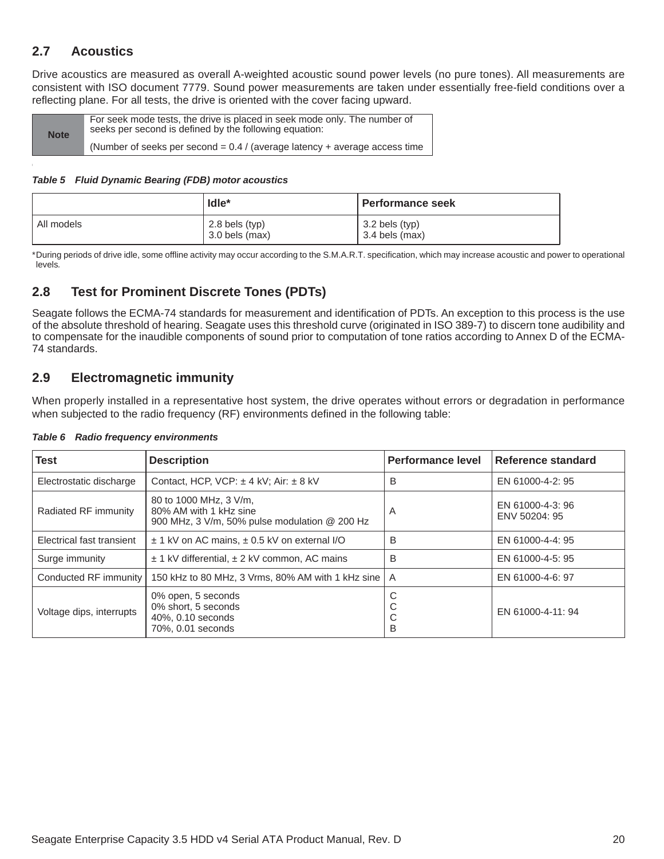### <span id="page-20-0"></span>**2.7 Acoustics**

Drive acoustics are measured as overall A-weighted acoustic sound power levels (no pure tones). All measurements are consistent with ISO document 7779. Sound power measurements are taken under essentially free-field conditions over a reflecting plane. For all tests, the drive is oriented with the cover facing upward.

| <b>Note</b> | For seek mode tests, the drive is placed in seek mode only. The number of<br>seeks per second is defined by the following equation: |
|-------------|-------------------------------------------------------------------------------------------------------------------------------------|
|             | (Number of seeks per second $= 0.4$ / (average latency + average access time                                                        |

#### *Table 5 Fluid Dynamic Bearing (FDB) motor acoustics*

|            | $Idle*$                              | . Performance seek               |
|------------|--------------------------------------|----------------------------------|
| All models | $2.8$ bels (typ)<br>$3.0$ bels (max) | 3.2 bels (typ)<br>3.4 bels (max) |

\*During periods of drive idle, some offline activity may occur according to the S.M.A.R.T. specification, which may increase acoustic and power to operational levels*.*

### <span id="page-20-1"></span>**2.8 Test for Prominent Discrete Tones (PDTs)**

Seagate follows the ECMA-74 standards for measurement and identification of PDTs. An exception to this process is the use of the absolute threshold of hearing. Seagate uses this threshold curve (originated in ISO 389-7) to discern tone audibility and to compensate for the inaudible components of sound prior to computation of tone ratios according to Annex D of the ECMA-74 standards.

### <span id="page-20-2"></span>**2.9 Electromagnetic immunity**

When properly installed in a representative host system, the drive operates without errors or degradation in performance when subjected to the radio frequency (RF) environments defined in the following table:

| <b>Test</b>               | <b>Description</b>                                                                                | <b>Performance level</b> | Reference standard                |
|---------------------------|---------------------------------------------------------------------------------------------------|--------------------------|-----------------------------------|
| Electrostatic discharge   | Contact, HCP, VCP: $\pm$ 4 kV; Air: $\pm$ 8 kV                                                    | В                        | EN 61000-4-2: 95                  |
| Radiated RF immunity      | 80 to 1000 MHz, 3 V/m,<br>80% AM with 1 kHz sine<br>900 MHz, 3 V/m, 50% pulse modulation @ 200 Hz | Α                        | EN 61000-4-3: 96<br>ENV 50204: 95 |
| Electrical fast transient | ± 1 kV on AC mains, ± 0.5 kV on external I/O                                                      | B                        | EN 61000-4-4: 95                  |
| Surge immunity            | $\pm$ 1 kV differential, $\pm$ 2 kV common, AC mains                                              | B                        | EN 61000-4-5: 95                  |
| Conducted RF immunity     | 150 kHz to 80 MHz, 3 Vrms, 80% AM with 1 kHz sine                                                 | $\overline{A}$           | EN 61000-4-6: 97                  |
| Voltage dips, interrupts  | 0% open, 5 seconds<br>0% short, 5 seconds<br>40%, 0.10 seconds<br>70%, 0.01 seconds               | С<br>С<br>◡<br>B         | EN 61000-4-11: 94                 |

#### *Table 6 Radio frequency environments*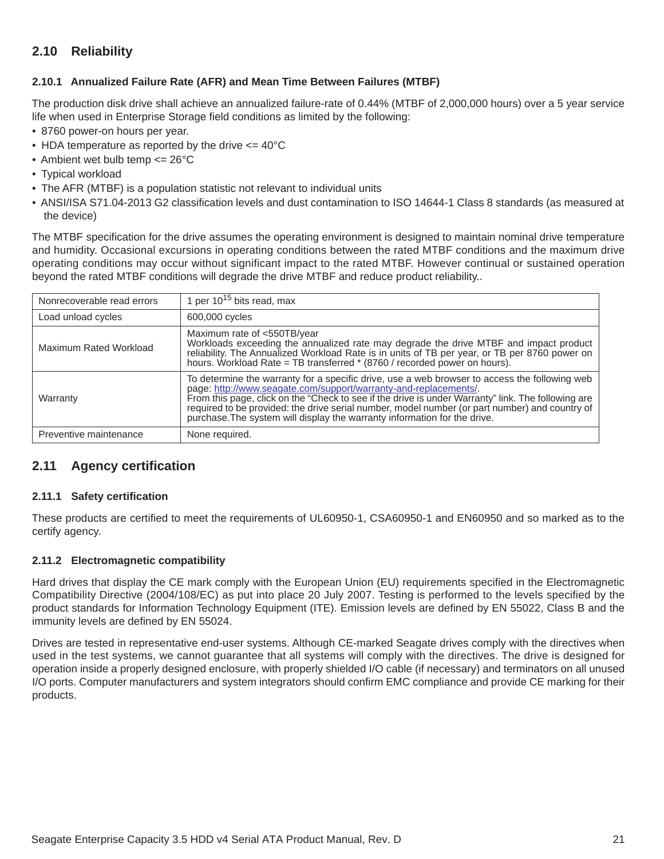### <span id="page-21-0"></span>**2.10 Reliability**

#### <span id="page-21-1"></span>**2.10.1 Annualized Failure Rate (AFR) and Mean Time Between Failures (MTBF)**

The production disk drive shall achieve an annualized failure-rate of 0.44% (MTBF of 2,000,000 hours) over a 5 year service life when used in Enterprise Storage field conditions as limited by the following:

- 8760 power-on hours per year.
- HDA temperature as reported by the drive  $\leq$  40°C
- Ambient wet bulb temp  $\leq$  26°C
- Typical workload
- The AFR (MTBF) is a population statistic not relevant to individual units
- ANSI/ISA S71.04-2013 G2 classification levels and dust contamination to ISO 14644-1 Class 8 standards (as measured at the device)

The MTBF specification for the drive assumes the operating environment is designed to maintain nominal drive temperature and humidity. Occasional excursions in operating conditions between the rated MTBF conditions and the maximum drive operating conditions may occur without significant impact to the rated MTBF. However continual or sustained operation beyond the rated MTBF conditions will degrade the drive MTBF and reduce product reliability..

| Nonrecoverable read errors | 1 per $10^{15}$ bits read, max                                                                                                                                                                                                                                                                                                                                                                                                                         |
|----------------------------|--------------------------------------------------------------------------------------------------------------------------------------------------------------------------------------------------------------------------------------------------------------------------------------------------------------------------------------------------------------------------------------------------------------------------------------------------------|
| Load unload cycles         | 600,000 cycles                                                                                                                                                                                                                                                                                                                                                                                                                                         |
| Maximum Rated Workload     | Maximum rate of <550TB/year<br>Workloads exceeding the annualized rate may degrade the drive MTBF and impact product<br>reliability. The Annualized Workload Rate is in units of TB per year, or TB per 8760 power on<br>hours. Workload Rate = TB transferred * (8760 / recorded power on hours).                                                                                                                                                     |
| Warranty                   | To determine the warranty for a specific drive, use a web browser to access the following web<br>page: http://www.seagate.com/support/warranty-and-replacements/.<br>From this page, click on the "Check to see if the drive is under Warranty" link. The following are<br>required to be provided: the drive serial number, model number (or part number) and country of<br>purchase. The system will display the warranty information for the drive. |
| Preventive maintenance     | None required.                                                                                                                                                                                                                                                                                                                                                                                                                                         |

### <span id="page-21-2"></span>**2.11 Agency certification**

#### <span id="page-21-3"></span>**2.11.1 Safety certification**

These products are certified to meet the requirements of UL60950-1, CSA60950-1 and EN60950 and so marked as to the certify agency.

#### <span id="page-21-4"></span>**2.11.2 Electromagnetic compatibility**

Hard drives that display the CE mark comply with the European Union (EU) requirements specified in the Electromagnetic Compatibility Directive (2004/108/EC) as put into place 20 July 2007. Testing is performed to the levels specified by the product standards for Information Technology Equipment (ITE). Emission levels are defined by EN 55022, Class B and the immunity levels are defined by EN 55024.

Drives are tested in representative end-user systems. Although CE-marked Seagate drives comply with the directives when used in the test systems, we cannot guarantee that all systems will comply with the directives. The drive is designed for operation inside a properly designed enclosure, with properly shielded I/O cable (if necessary) and terminators on all unused I/O ports. Computer manufacturers and system integrators should confirm EMC compliance and provide CE marking for their products.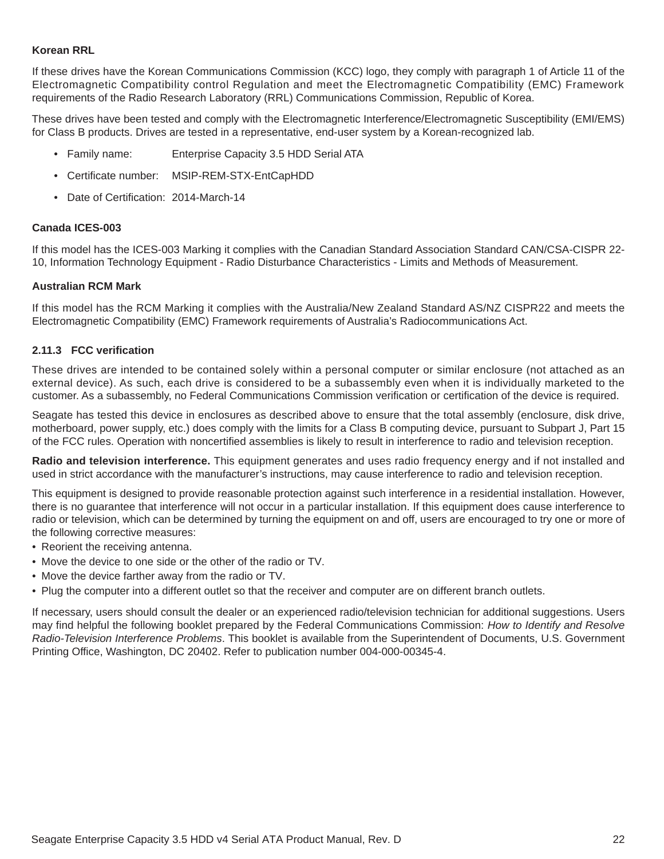#### **Korean RRL**

If these drives have the Korean Communications Commission (KCC) logo, they comply with paragraph 1 of Article 11 of the Electromagnetic Compatibility control Regulation and meet the Electromagnetic Compatibility (EMC) Framework requirements of the Radio Research Laboratory (RRL) Communications Commission, Republic of Korea.

These drives have been tested and comply with the Electromagnetic Interference/Electromagnetic Susceptibility (EMI/EMS) for Class B products. Drives are tested in a representative, end-user system by a Korean-recognized lab.

- Family name: Enterprise Capacity 3.5 HDD Serial ATA
- Certificate number: MSIP-REM-STX-EntCapHDD
- Date of Certification: 2014-March-14

#### **Canada ICES-003**

If this model has the ICES-003 Marking it complies with the Canadian Standard Association Standard CAN/CSA-CISPR 22- 10, Information Technology Equipment - Radio Disturbance Characteristics - Limits and Methods of Measurement.

#### **Australian RCM Mark**

If this model has the RCM Marking it complies with the Australia/New Zealand Standard AS/NZ CISPR22 and meets the Electromagnetic Compatibility (EMC) Framework requirements of Australia's Radiocommunications Act.

#### <span id="page-22-0"></span>**2.11.3 FCC verification**

These drives are intended to be contained solely within a personal computer or similar enclosure (not attached as an external device). As such, each drive is considered to be a subassembly even when it is individually marketed to the customer. As a subassembly, no Federal Communications Commission verification or certification of the device is required.

Seagate has tested this device in enclosures as described above to ensure that the total assembly (enclosure, disk drive, motherboard, power supply, etc.) does comply with the limits for a Class B computing device, pursuant to Subpart J, Part 15 of the FCC rules. Operation with noncertified assemblies is likely to result in interference to radio and television reception.

**Radio and television interference.** This equipment generates and uses radio frequency energy and if not installed and used in strict accordance with the manufacturer's instructions, may cause interference to radio and television reception.

This equipment is designed to provide reasonable protection against such interference in a residential installation. However, there is no guarantee that interference will not occur in a particular installation. If this equipment does cause interference to radio or television, which can be determined by turning the equipment on and off, users are encouraged to try one or more of the following corrective measures:

- Reorient the receiving antenna.
- Move the device to one side or the other of the radio or TV.
- Move the device farther away from the radio or TV.
- Plug the computer into a different outlet so that the receiver and computer are on different branch outlets.

If necessary, users should consult the dealer or an experienced radio/television technician for additional suggestions. Users may find helpful the following booklet prepared by the Federal Communications Commission: *How to Identify and Resolve Radio-Television Interference Problems*. This booklet is available from the Superintendent of Documents, U.S. Government Printing Office, Washington, DC 20402. Refer to publication number 004-000-00345-4.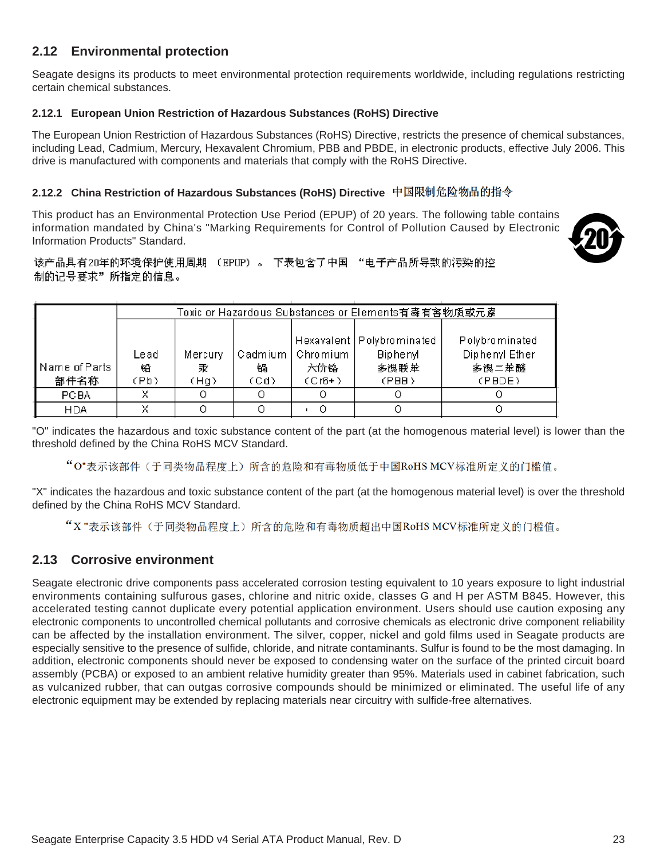### <span id="page-23-0"></span>**2.12 Environmental protection**

Seagate designs its products to meet environmental protection requirements worldwide, including regulations restricting certain chemical substances.

#### <span id="page-23-1"></span>**2.12.1 European Union Restriction of Hazardous Substances (RoHS) Directive**

The European Union Restriction of Hazardous Substances (RoHS) Directive, restricts the presence of chemical substances, including Lead, Cadmium, Mercury, Hexavalent Chromium, PBB and PBDE, in electronic products, effective July 2006. This drive is manufactured with components and materials that comply with the RoHS Directive.

#### <span id="page-23-2"></span>**2.12.2 China Restriction of Hazardous Substances (RoHS) Directive**

This product has an Environmental Protection Use Period (EPUP) of 20 years. The following table contains information mandated by China's "Marking Requirements for Control of Pollution Caused by Electronic Information Products" Standard.



该产品具有20年的环境保护使用周期 (EPUP)。 下表包含了中国 "电子产品所导致的污染的控 制的记号要求"所指定的信息。

|                           | Toxic or Hazardous Substances or Elements有毒有害物质或元素 |                      |           |                                       |                                                                 |                                                     |
|---------------------------|----------------------------------------------------|----------------------|-----------|---------------------------------------|-----------------------------------------------------------------|-----------------------------------------------------|
| l Name of Parts -<br>部件名称 | Lead<br>铅<br>(Pb)                                  | Mercury<br>汞<br>(Ha) | 锅<br>(Cd) | Cadmium   Chromium<br>六价铬<br>$(Cr6+)$ | Hexavalent   Polybrominated<br><b>Biphenyl</b><br>多溴联苯<br>(PBB) | Polybrominated<br>Diphenyl Ether<br>多误二苯醚<br>(PBDE) |
| <b>PCBA</b>               | x                                                  |                      |           |                                       |                                                                 |                                                     |
| <b>HDA</b>                |                                                    |                      |           |                                       |                                                                 |                                                     |

"O" indicates the hazardous and toxic substance content of the part (at the homogenous material level) is lower than the threshold defined by the China RoHS MCV Standard.

"O"表示该部件(于同类物品程度上)所含的危险和有毒物质低于中国RoHS MCV标准所定义的门槛值。

"X" indicates the hazardous and toxic substance content of the part (at the homogenous material level) is over the threshold defined by the China RoHS MCV Standard.

"X"表示该部件(于同类物品程度上)所含的危险和有毒物质超出中国RoHS MCV标准所定义的门槛值。

### <span id="page-23-3"></span>**2.13 Corrosive environment**

Seagate electronic drive components pass accelerated corrosion testing equivalent to 10 years exposure to light industrial environments containing sulfurous gases, chlorine and nitric oxide, classes G and H per ASTM B845. However, this accelerated testing cannot duplicate every potential application environment. Users should use caution exposing any electronic components to uncontrolled chemical pollutants and corrosive chemicals as electronic drive component reliability can be affected by the installation environment. The silver, copper, nickel and gold films used in Seagate products are especially sensitive to the presence of sulfide, chloride, and nitrate contaminants. Sulfur is found to be the most damaging. In addition, electronic components should never be exposed to condensing water on the surface of the printed circuit board assembly (PCBA) or exposed to an ambient relative humidity greater than 95%. Materials used in cabinet fabrication, such as vulcanized rubber, that can outgas corrosive compounds should be minimized or eliminated. The useful life of any electronic equipment may be extended by replacing materials near circuitry with sulfide-free alternatives.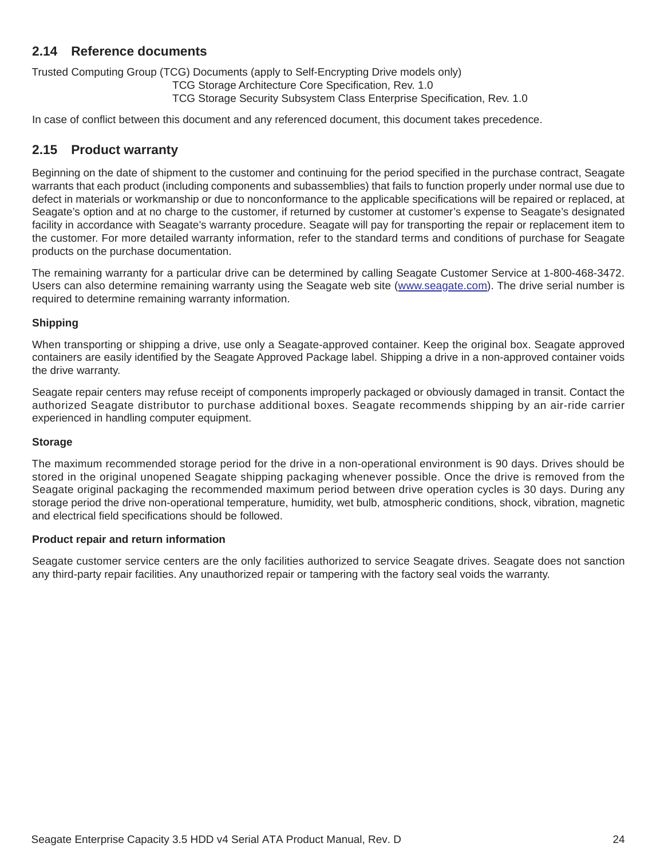### <span id="page-24-0"></span>**2.14 Reference documents**

Trusted Computing Group (TCG) Documents (apply to Self-Encrypting Drive models only)

TCG Storage Architecture Core Specification, Rev. 1.0

TCG Storage Security Subsystem Class Enterprise Specification, Rev. 1.0

In case of conflict between this document and any referenced document, this document takes precedence.

### <span id="page-24-1"></span>**2.15 Product warranty**

Beginning on the date of shipment to the customer and continuing for the period specified in the purchase contract, Seagate warrants that each product (including components and subassemblies) that fails to function properly under normal use due to defect in materials or workmanship or due to nonconformance to the applicable specifications will be repaired or replaced, at Seagate's option and at no charge to the customer, if returned by customer at customer's expense to Seagate's designated facility in accordance with Seagate's warranty procedure. Seagate will pay for transporting the repair or replacement item to the customer. For more detailed warranty information, refer to the standard terms and conditions of purchase for Seagate products on the purchase documentation.

[The remaining warranty for a particular drive can be determined by calling Seagate Customer Service at 1-800-468-3472.](http://www.seagate.com) [Users can also determine remaining warranty using the Seagate web site \(](http://www.seagate.com)www.seagate.com). The drive serial number is required to determine remaining warranty information.

### **Shipping**

When transporting or shipping a drive, use only a Seagate-approved container. Keep the original box. Seagate approved containers are easily identified by the Seagate Approved Package label. Shipping a drive in a non-approved container voids the drive warranty.

Seagate repair centers may refuse receipt of components improperly packaged or obviously damaged in transit. Contact the authorized Seagate distributor to purchase additional boxes. Seagate recommends shipping by an air-ride carrier experienced in handling computer equipment.

#### **Storage**

The maximum recommended storage period for the drive in a non-operational environment is 90 days. Drives should be stored in the original unopened Seagate shipping packaging whenever possible. Once the drive is removed from the Seagate original packaging the recommended maximum period between drive operation cycles is 30 days. During any storage period the drive non-operational temperature, humidity, wet bulb, atmospheric conditions, shock, vibration, magnetic and electrical field specifications should be followed.

#### **Product repair and return information**

Seagate customer service centers are the only facilities authorized to service Seagate drives. Seagate does not sanction any third-party repair facilities. Any unauthorized repair or tampering with the factory seal voids the warranty.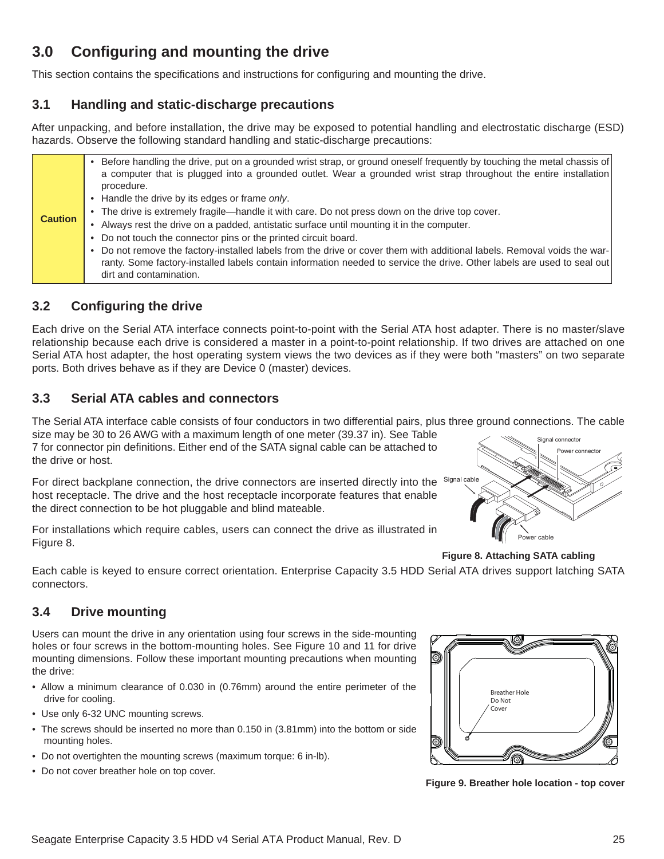# <span id="page-25-0"></span>**3.0 Configuring and mounting the drive**

This section contains the specifications and instructions for configuring and mounting the drive.

### <span id="page-25-1"></span>**3.1 Handling and static-discharge precautions**

After unpacking, and before installation, the drive may be exposed to potential handling and electrostatic discharge (ESD) hazards. Observe the following standard handling and static-discharge precautions:

| <b>Caution</b> | • Before handling the drive, put on a grounded wrist strap, or ground oneself frequently by touching the metal chassis of<br>a computer that is plugged into a grounded outlet. Wear a grounded wrist strap throughout the entire installation<br>procedure.<br>• Handle the drive by its edges or frame only.<br>• The drive is extremely fragile—handle it with care. Do not press down on the drive top cover.<br>• Always rest the drive on a padded, antistatic surface until mounting it in the computer. |
|----------------|-----------------------------------------------------------------------------------------------------------------------------------------------------------------------------------------------------------------------------------------------------------------------------------------------------------------------------------------------------------------------------------------------------------------------------------------------------------------------------------------------------------------|
|                | • Do not touch the connector pins or the printed circuit board.<br>• Do not remove the factory-installed labels from the drive or cover them with additional labels. Removal voids the war-<br>ranty. Some factory-installed labels contain information needed to service the drive. Other labels are used to seal out<br>dirt and contamination.                                                                                                                                                               |

### <span id="page-25-2"></span>**3.2 Configuring the drive**

Each drive on the Serial ATA interface connects point-to-point with the Serial ATA host adapter. There is no master/slave relationship because each drive is considered a master in a point-to-point relationship. If two drives are attached on one Serial ATA host adapter, the host operating system views the two devices as if they were both "masters" on two separate ports. Both drives behave as if they are Device 0 (master) devices.

### <span id="page-25-3"></span>**3.3 Serial ATA cables and connectors**

The Serial ATA interface cable consists of four conductors in two differential pairs, plus three ground connections. The cable size may be 30 to 26 AWG with a maximum length of one meter (39.37 in). See Table

7 for connector pin definitions. Either end of the SATA signal cable can be attached to the drive or host.

For direct backplane connection, the drive connectors are inserted directly into the  $^{Signal}$  cable host receptacle. The drive and the host receptacle incorporate features that enable the direct connection to be hot pluggable and blind mateable.

For installations which require cables, users can connect the drive as illustrated in Figure [8](#page-25-5).



**Figure 8. Attaching SATA cabling**

<span id="page-25-5"></span>Each cable is keyed to ensure correct orientation. Enterprise Capacity 3.5 HDD Serial ATA drives support latching SATA connectors.

### <span id="page-25-4"></span>**3.4 Drive mounting**

Users can mount the drive in any orientation using four screws in the side-mounting holes or four screws in the bottom-mounting holes. See Figure [10](#page-26-1) and [11](#page-27-0) for drive mounting dimensions. Follow these important mounting precautions when mounting the drive:

- Allow a minimum clearance of 0.030 in (0.76mm) around the entire perimeter of the drive for cooling.
- Use only 6-32 UNC mounting screws.
- The screws should be inserted no more than 0.150 in (3.81mm) into the bottom or side mounting holes.
- Do not overtighten the mounting screws (maximum torque: 6 in-lb).
- Do not cover breather hole on top cover.



**Figure 9. Breather hole location - top cover**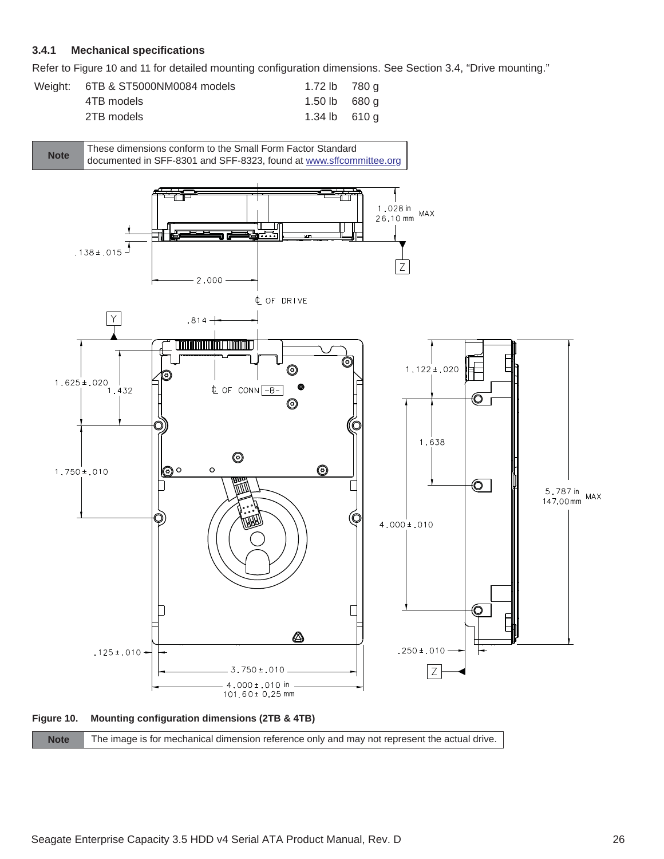### <span id="page-26-0"></span>**3.4.1 Mechanical specifications**

Refer to Figure [10](#page-26-1) and [11](#page-27-0) for detailed mounting configuration dimensions. See Section [3.4,](#page-25-4) "Drive mounting."

| Weight: 6TB & ST5000NM0084 models | 1.72 lb 780 g  |  |
|-----------------------------------|----------------|--|
| 4TB models                        | 1.50 lb 680 g  |  |
| 2TB models                        | 1.34 lb $610q$ |  |

<span id="page-26-1"></span>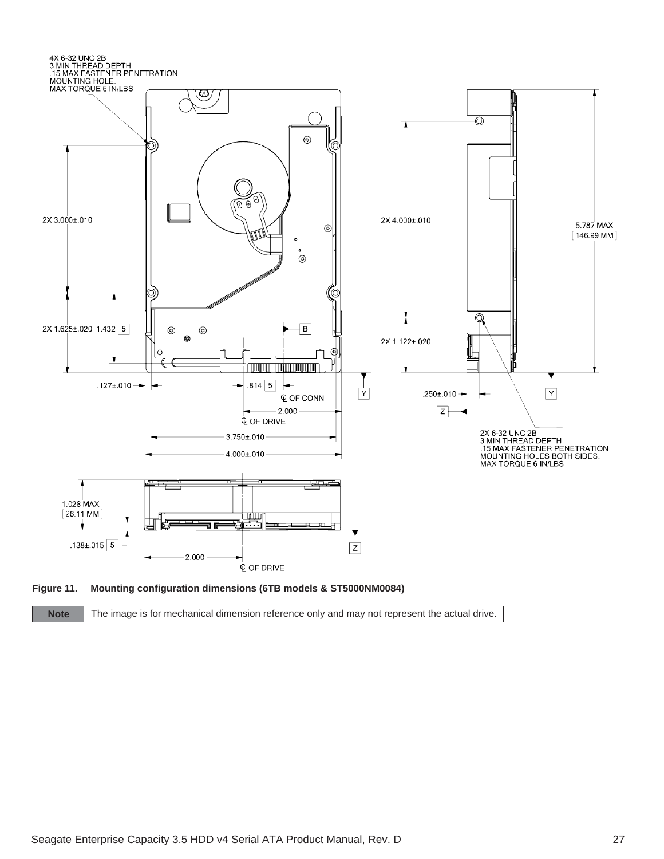

<span id="page-27-0"></span>

| The image is for mechanical dimension reference only and may not represent the actual drive.<br><b>Note</b> |  |
|-------------------------------------------------------------------------------------------------------------|--|
|-------------------------------------------------------------------------------------------------------------|--|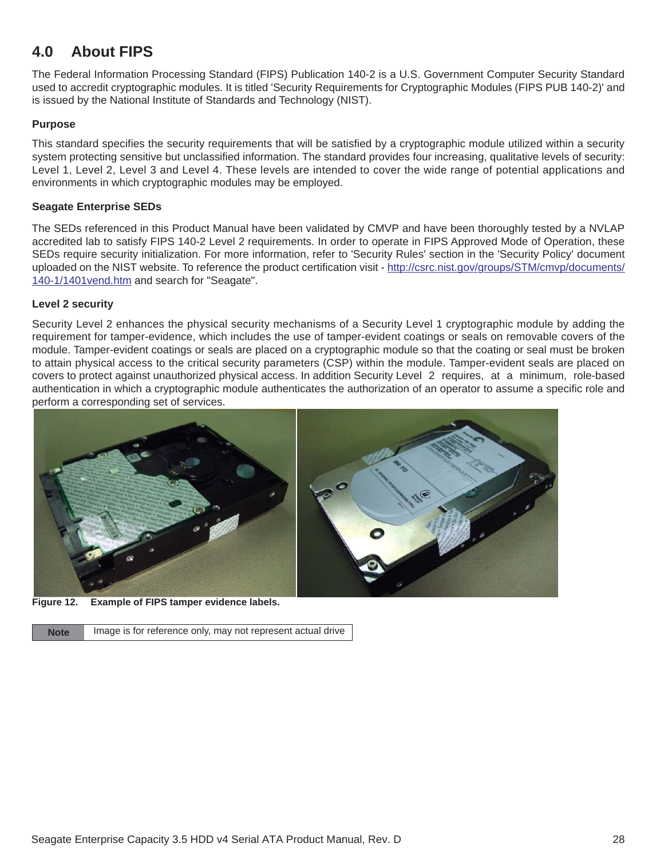# <span id="page-28-0"></span>**4.0 About FIPS**

The Federal Information Processing Standard (FIPS) Publication 140-2 is a U.S. Government Computer Security Standard used to accredit cryptographic modules. It is titled 'Security Requirements for Cryptographic Modules (FIPS PUB 140-2)' and is issued by the National Institute of Standards and Technology (NIST).

#### **Purpose**

This standard specifies the security requirements that will be satisfied by a cryptographic module utilized within a security system protecting sensitive but unclassified information. The standard provides four increasing, qualitative levels of security: Level 1, Level 2, Level 3 and Level 4. These levels are intended to cover the wide range of potential applications and environments in which cryptographic modules may be employed.

#### **Seagate Enterprise SEDs**

[The SEDs referenced in this Product Manual have been validated by CMVP and have been thoroughly tested by a NVLAP](http://csrc.nist.gov/groups/STM/cmvp/documents/140-1/1401vend.htm) [accredited lab to satisfy FIPS 140-2 Level 2 requirements. In order to operate in FIPS Approved Mode of Operation, these](http://csrc.nist.gov/groups/STM/cmvp/documents/140-1/1401vend.htm) SEDs require security initialization. For more information, refer to 'Security Rules' section in the 'Security Policy' document [uploaded on the NIST website. To reference the product certification visit -](http://csrc.nist.gov/groups/STM/cmvp/documents/140-1/1401vend.htm) http://csrc.nist.gov/groups/STM/cmvp/documents/ 140-1/1401vend.htm and search for "Seagate".

#### **Level 2 security**

Security Level 2 enhances the physical security mechanisms of a Security Level 1 cryptographic module by adding the requirement for tamper-evidence, which includes the use of tamper-evident coatings or seals on removable covers of the module. Tamper-evident coatings or seals are placed on a cryptographic module so that the coating or seal must be broken to attain physical access to the critical security parameters (CSP) within the module. Tamper-evident seals are placed on covers to protect against unauthorized physical access. In addition Security Level 2 requires, at a minimum, role-based authentication in which a cryptographic module authenticates the authorization of an operator to assume a specific role and perform a corresponding set of services.



**Figure 12. Example of FIPS tamper evidence labels.** 

Note **Image is for reference only, may not represent actual drive**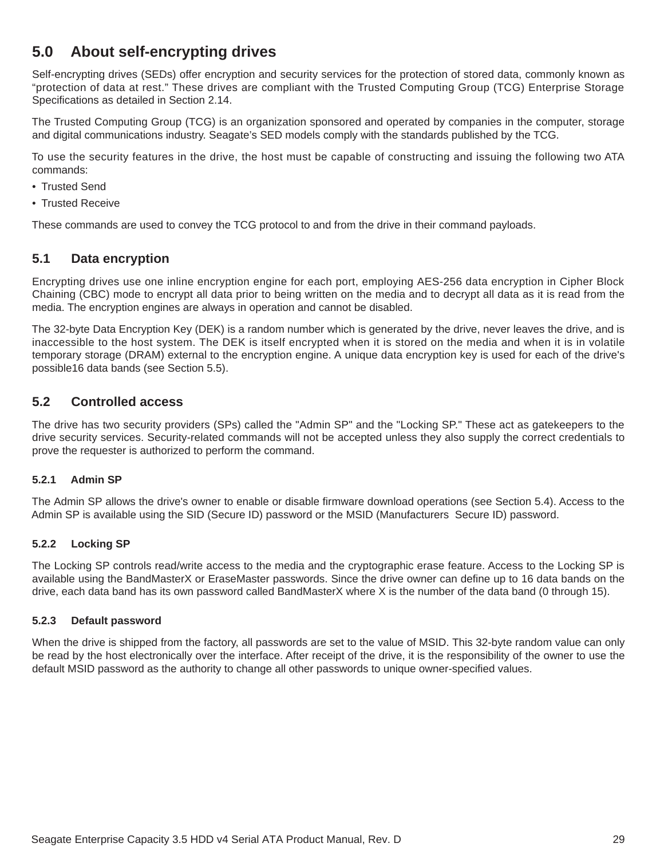# <span id="page-29-0"></span>**5.0 About self-encrypting drives**

Self-encrypting drives (SEDs) offer encryption and security services for the protection of stored data, commonly known as "protection of data at rest." These drives are compliant with the Trusted Computing Group (TCG) Enterprise Storage Specifications as detailed in [Section 2.14](#page-24-0).

The Trusted Computing Group (TCG) is an organization sponsored and operated by companies in the computer, storage and digital communications industry. Seagate's SED models comply with the standards published by the TCG.

To use the security features in the drive, the host must be capable of constructing and issuing the following two ATA commands:

- Trusted Send
- Trusted Receive

These commands are used to convey the TCG protocol to and from the drive in their command payloads.

### <span id="page-29-1"></span>**5.1 Data encryption**

Encrypting drives use one inline encryption engine for each port, employing AES-256 data encryption in Cipher Block Chaining (CBC) mode to encrypt all data prior to being written on the media and to decrypt all data as it is read from the media. The encryption engines are always in operation and cannot be disabled.

The 32-byte Data Encryption Key (DEK) is a random number which is generated by the drive, never leaves the drive, and is inaccessible to the host system. The DEK is itself encrypted when it is stored on the media and when it is in volatile temporary storage (DRAM) external to the encryption engine. A unique data encryption key is used for each of the drive's possible16 data bands (see [Section 5.5\)](#page-30-2).

### <span id="page-29-2"></span>**5.2 Controlled access**

The drive has two security providers (SPs) called the "Admin SP" and the "Locking SP." These act as gatekeepers to the drive security services. Security-related commands will not be accepted unless they also supply the correct credentials to prove the requester is authorized to perform the command.

#### <span id="page-29-3"></span>**5.2.1 Admin SP**

The Admin SP allows the drive's owner to enable or disable firmware download operations (see [Section 5.4](#page-30-1)). Access to the Admin SP is available using the SID (Secure ID) password or the MSID (Manufacturers Secure ID) password.

#### <span id="page-29-4"></span>**5.2.2 Locking SP**

The Locking SP controls read/write access to the media and the cryptographic erase feature. Access to the Locking SP is available using the BandMasterX or EraseMaster passwords. Since the drive owner can define up to 16 data bands on the drive, each data band has its own password called BandMasterX where X is the number of the data band (0 through 15).

#### <span id="page-29-5"></span>**5.2.3 Default password**

When the drive is shipped from the factory, all passwords are set to the value of MSID. This 32-byte random value can only be read by the host electronically over the interface. After receipt of the drive, it is the responsibility of the owner to use the default MSID password as the authority to change all other passwords to unique owner-specified values.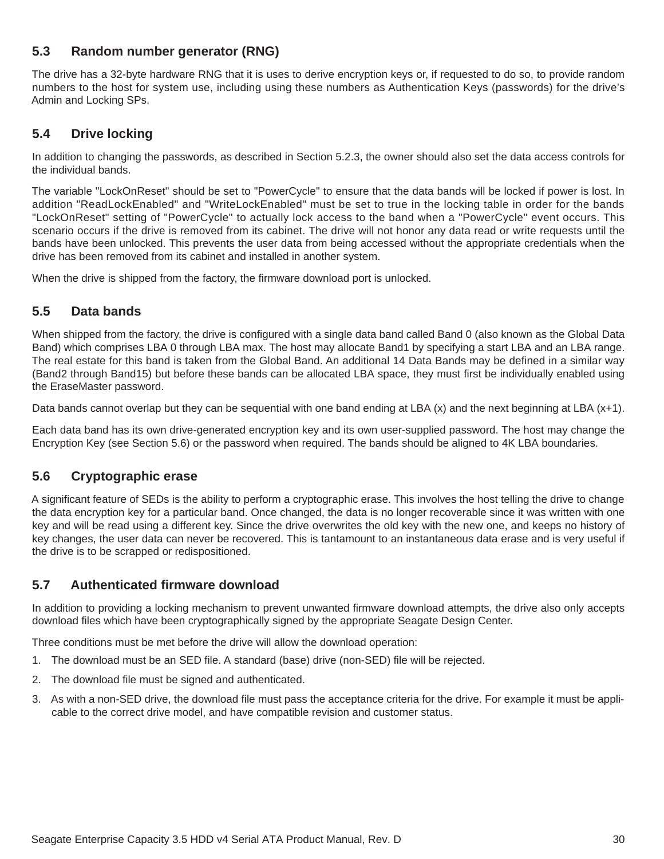### <span id="page-30-0"></span>**5.3 Random number generator (RNG)**

The drive has a 32-byte hardware RNG that it is uses to derive encryption keys or, if requested to do so, to provide random numbers to the host for system use, including using these numbers as Authentication Keys (passwords) for the drive's Admin and Locking SPs.

### <span id="page-30-1"></span>**5.4 Drive locking**

In addition to changing the passwords, as described in [Section 5.2.3,](#page-29-5) the owner should also set the data access controls for the individual bands.

The variable "LockOnReset" should be set to "PowerCycle" to ensure that the data bands will be locked if power is lost. In addition "ReadLockEnabled" and "WriteLockEnabled" must be set to true in the locking table in order for the bands "LockOnReset" setting of "PowerCycle" to actually lock access to the band when a "PowerCycle" event occurs. This scenario occurs if the drive is removed from its cabinet. The drive will not honor any data read or write requests until the bands have been unlocked. This prevents the user data from being accessed without the appropriate credentials when the drive has been removed from its cabinet and installed in another system.

When the drive is shipped from the factory, the firmware download port is unlocked.

### <span id="page-30-2"></span>**5.5 Data bands**

When shipped from the factory, the drive is configured with a single data band called Band 0 (also known as the Global Data Band) which comprises LBA 0 through LBA max. The host may allocate Band1 by specifying a start LBA and an LBA range. The real estate for this band is taken from the Global Band. An additional 14 Data Bands may be defined in a similar way (Band2 through Band15) but before these bands can be allocated LBA space, they must first be individually enabled using the EraseMaster password.

Data bands cannot overlap but they can be sequential with one band ending at LBA (x) and the next beginning at LBA (x+1).

Each data band has its own drive-generated encryption key and its own user-supplied password. The host may change the Encryption Key (see [Section 5.6\)](#page-30-3) or the password when required. The bands should be aligned to 4K LBA boundaries.

### <span id="page-30-3"></span>**5.6 Cryptographic erase**

A significant feature of SEDs is the ability to perform a cryptographic erase. This involves the host telling the drive to change the data encryption key for a particular band. Once changed, the data is no longer recoverable since it was written with one key and will be read using a different key. Since the drive overwrites the old key with the new one, and keeps no history of key changes, the user data can never be recovered. This is tantamount to an instantaneous data erase and is very useful if the drive is to be scrapped or redispositioned.

### <span id="page-30-4"></span>**5.7 Authenticated firmware download**

In addition to providing a locking mechanism to prevent unwanted firmware download attempts, the drive also only accepts download files which have been cryptographically signed by the appropriate Seagate Design Center.

Three conditions must be met before the drive will allow the download operation:

- 1. The download must be an SED file. A standard (base) drive (non-SED) file will be rejected.
- 2. The download file must be signed and authenticated.
- 3. As with a non-SED drive, the download file must pass the acceptance criteria for the drive. For example it must be applicable to the correct drive model, and have compatible revision and customer status.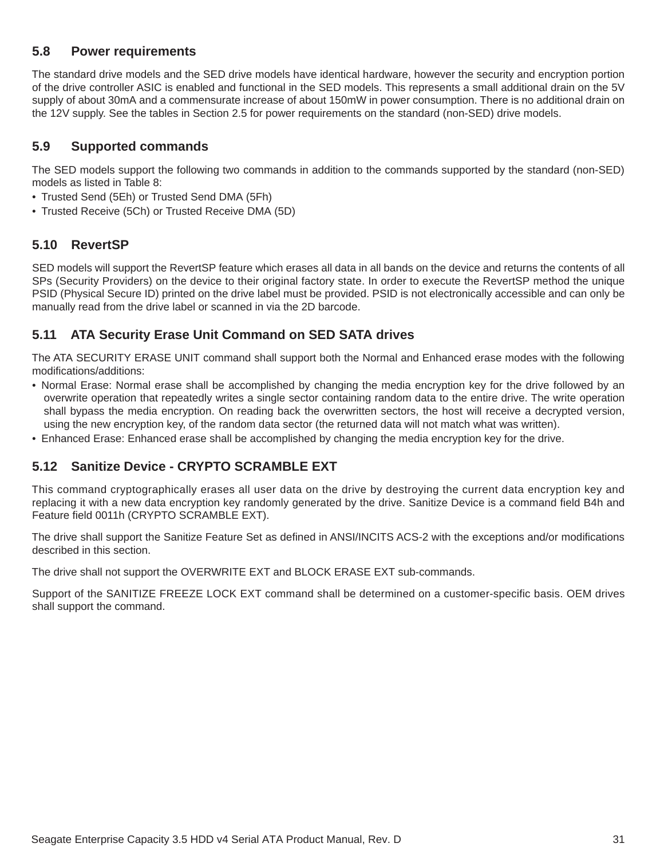### <span id="page-31-0"></span>**5.8 Power requirements**

The standard drive models and the SED drive models have identical hardware, however the security and encryption portion of the drive controller ASIC is enabled and functional in the SED models. This represents a small additional drain on the 5V supply of about 30mA and a commensurate increase of about 150mW in power consumption. There is no additional drain on the 12V supply. See the tables in [Section 2.5](#page-10-0) for power requirements on the standard (non-SED) drive models.

### <span id="page-31-1"></span>**5.9 Supported commands**

The SED models support the following two commands in addition to the commands supported by the standard (non-SED) models as listed in Table [8:](#page-33-1)

- Trusted Send (5Eh) or Trusted Send DMA (5Fh)
- Trusted Receive (5Ch) or Trusted Receive DMA (5D)

### <span id="page-31-2"></span>**5.10 RevertSP**

SED models will support the RevertSP feature which erases all data in all bands on the device and returns the contents of all SPs (Security Providers) on the device to their original factory state. In order to execute the RevertSP method the unique PSID (Physical Secure ID) printed on the drive label must be provided. PSID is not electronically accessible and can only be manually read from the drive label or scanned in via the 2D barcode.

### <span id="page-31-3"></span>**5.11 ATA Security Erase Unit Command on SED SATA drives**

The ATA SECURITY ERASE UNIT command shall support both the Normal and Enhanced erase modes with the following modifications/additions:

- Normal Erase: Normal erase shall be accomplished by changing the media encryption key for the drive followed by an overwrite operation that repeatedly writes a single sector containing random data to the entire drive. The write operation shall bypass the media encryption. On reading back the overwritten sectors, the host will receive a decrypted version, using the new encryption key, of the random data sector (the returned data will not match what was written).
- Enhanced Erase: Enhanced erase shall be accomplished by changing the media encryption key for the drive.

### <span id="page-31-4"></span>**5.12 Sanitize Device - CRYPTO SCRAMBLE EXT**

This command cryptographically erases all user data on the drive by destroying the current data encryption key and replacing it with a new data encryption key randomly generated by the drive. Sanitize Device is a command field B4h and Feature field 0011h (CRYPTO SCRAMBLE EXT).

The drive shall support the Sanitize Feature Set as defined in ANSI/INCITS ACS-2 with the exceptions and/or modifications described in this section.

The drive shall not support the OVERWRITE EXT and BLOCK ERASE EXT sub-commands.

Support of the SANITIZE FREEZE LOCK EXT command shall be determined on a customer-specific basis. OEM drives shall support the command.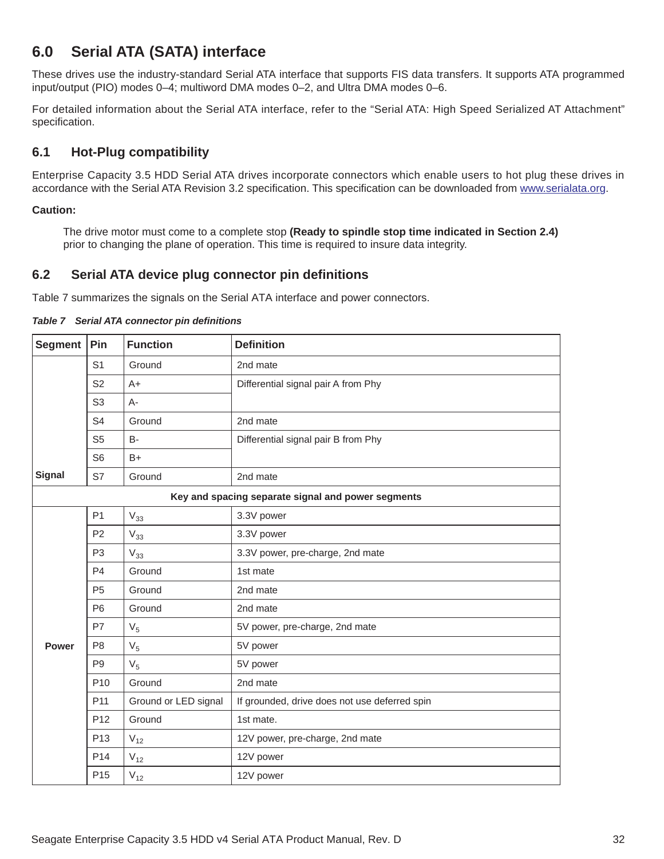# <span id="page-32-0"></span>**6.0 Serial ATA (SATA) interface**

These drives use the industry-standard Serial ATA interface that supports FIS data transfers. It supports ATA programmed input/output (PIO) modes 0–4; multiword DMA modes 0–2, and Ultra DMA modes 0–6.

For detailed information about the Serial ATA interface, refer to the "Serial ATA: High Speed Serialized AT Attachment" specification.

### <span id="page-32-1"></span>**6.1 Hot-Plug compatibility**

Enterprise Capacity 3.5 HDD Serial ATA drives incorporate connectors which enable users to hot plug these drives in accordance with the Serial ATA Revision 3.2 specification. This specification can be downloaded from [www.serialata.or](http://www.serialata.org)g.

#### **Caution:**

The drive motor must come to a complete stop **(Ready to spindle stop time indicated in [Section 2.4\)](#page-9-3)**  prior to changing the plane of operation. This time is required to insure data integrity.

### <span id="page-32-2"></span>**6.2 Serial ATA device plug connector pin definitions**

Table 7 summarizes the signals on the Serial ATA interface and power connectors.

| <b>Segment</b>                       | Pin             | <b>Function</b>      | <b>Definition</b>                                  |
|--------------------------------------|-----------------|----------------------|----------------------------------------------------|
|                                      | S <sub>1</sub>  | Ground               | 2nd mate                                           |
|                                      | S <sub>2</sub>  | $A+$                 | Differential signal pair A from Phy                |
|                                      | S <sub>3</sub>  | A-                   |                                                    |
|                                      | S <sub>4</sub>  | Ground               | 2nd mate                                           |
|                                      | S <sub>5</sub>  | <b>B-</b>            | Differential signal pair B from Phy                |
|                                      | S <sub>6</sub>  | $B+$                 |                                                    |
| <b>Signal</b>                        | S7              | Ground               | 2nd mate                                           |
|                                      |                 |                      | Key and spacing separate signal and power segments |
|                                      | P <sub>1</sub>  | $\rm V_{33}$         | 3.3V power                                         |
|                                      | <b>P2</b>       | $V_{33}$             | 3.3V power                                         |
|                                      | P <sub>3</sub>  | $V_{33}$             | 3.3V power, pre-charge, 2nd mate                   |
|                                      | P <sub>4</sub>  | Ground               | 1st mate                                           |
| Ground<br>P <sub>5</sub><br>2nd mate |                 |                      |                                                    |
|                                      | P <sub>6</sub>  | Ground               | 2nd mate                                           |
|                                      | P7              | V <sub>5</sub>       | 5V power, pre-charge, 2nd mate                     |
| <b>Power</b>                         | P <sub>8</sub>  | V <sub>5</sub>       | 5V power                                           |
|                                      | P <sub>9</sub>  | V <sub>5</sub>       | 5V power                                           |
|                                      | P <sub>10</sub> | Ground               | 2nd mate                                           |
|                                      | P <sub>11</sub> | Ground or LED signal | If grounded, drive does not use deferred spin      |
|                                      | P <sub>12</sub> | Ground               | 1st mate.                                          |
|                                      | P <sub>13</sub> | $V_{12}$             | 12V power, pre-charge, 2nd mate                    |
|                                      | P <sub>14</sub> | $V_{12}$             | 12V power                                          |
|                                      | P <sub>15</sub> | $V_{12}$             | 12V power                                          |

*Table 7 Serial ATA connector pin definitions*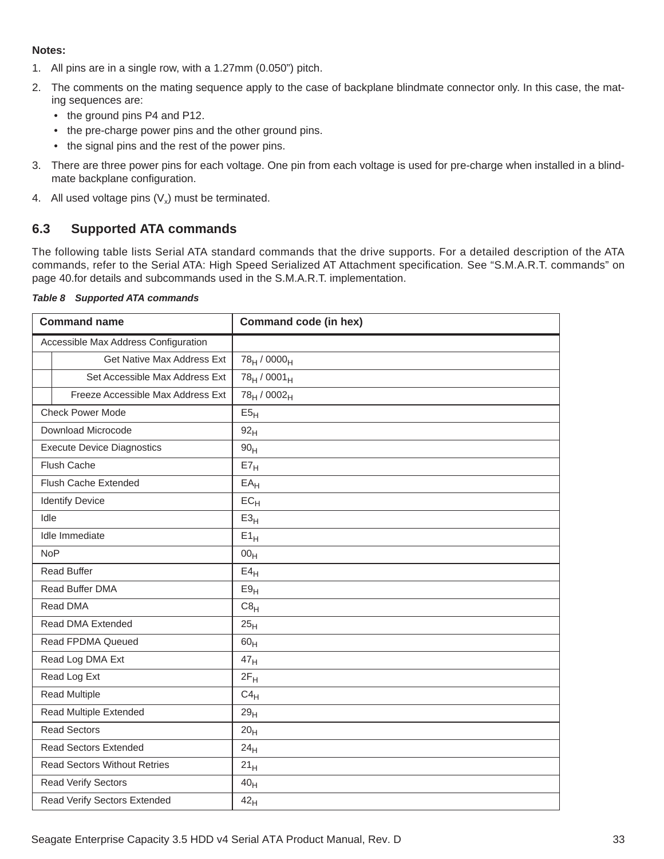#### **Notes:**

- 1. All pins are in a single row, with a 1.27mm (0.050") pitch.
- 2. The comments on the mating sequence apply to the case of backplane blindmate connector only. In this case, the mating sequences are:
	- the ground pins P4 and P12.
	- the pre-charge power pins and the other ground pins.
	- the signal pins and the rest of the power pins.
- 3. There are three power pins for each voltage. One pin from each voltage is used for pre-charge when installed in a blindmate backplane configuration.
- 4. All used voltage pins  $(V_x)$  must be terminated.

### <span id="page-33-0"></span>**6.3 Supported ATA commands**

The following table lists Serial ATA standard commands that the drive supports. For a detailed description of the ATA commands, refer to the Serial ATA: High Speed Serialized AT Attachment specification*.* [See "S.M.A.R.T. commands" on](#page-40-0) [page 40.f](#page-40-0)or details and subcommands used in the S.M.A.R.T. implementation.

<span id="page-33-1"></span>

|  | Table 8 Supported ATA commands |
|--|--------------------------------|

| <b>Command name</b>                  | Command code (in hex)               |
|--------------------------------------|-------------------------------------|
| Accessible Max Address Configuration |                                     |
| Get Native Max Address Ext           | 78 <sub>H</sub> / 0000 <sub>H</sub> |
| Set Accessible Max Address Ext       | 78 <sub>H</sub> / 0001 <sub>H</sub> |
| Freeze Accessible Max Address Ext    | 78 <sub>H</sub> / 0002 <sub>H</sub> |
| <b>Check Power Mode</b>              | E5 <sub>H</sub>                     |
| Download Microcode                   | 92 <sub>H</sub>                     |
| <b>Execute Device Diagnostics</b>    | 90 <sub>H</sub>                     |
| <b>Flush Cache</b>                   | $E7_H$                              |
| Flush Cache Extended                 | EA <sub>H</sub>                     |
| <b>Identify Device</b>               | $EC_{H}$                            |
| Idle                                 | E3 <sub>H</sub>                     |
| Idle Immediate                       | $E1_H$                              |
| <b>NoP</b>                           | 00 <sub>H</sub>                     |
| <b>Read Buffer</b>                   | E4 <sub>H</sub>                     |
| Read Buffer DMA                      | E9 <sub>H</sub>                     |
| Read DMA                             | $C8_H$                              |
| Read DMA Extended                    | 25 <sub>H</sub>                     |
| Read FPDMA Queued                    | 60 <sub>H</sub>                     |
| Read Log DMA Ext                     | 47 <sub>H</sub>                     |
| Read Log Ext                         | $2F_H$                              |
| <b>Read Multiple</b>                 | $C4_H$                              |
| <b>Read Multiple Extended</b>        | 29 <sub>H</sub>                     |
| <b>Read Sectors</b>                  | 20 <sub>H</sub>                     |
| <b>Read Sectors Extended</b>         | 24 <sub>H</sub>                     |
| <b>Read Sectors Without Retries</b>  | $21_H$                              |
| <b>Read Verify Sectors</b>           | 40 <sub>H</sub>                     |
| Read Verify Sectors Extended         | 42 <sub>H</sub>                     |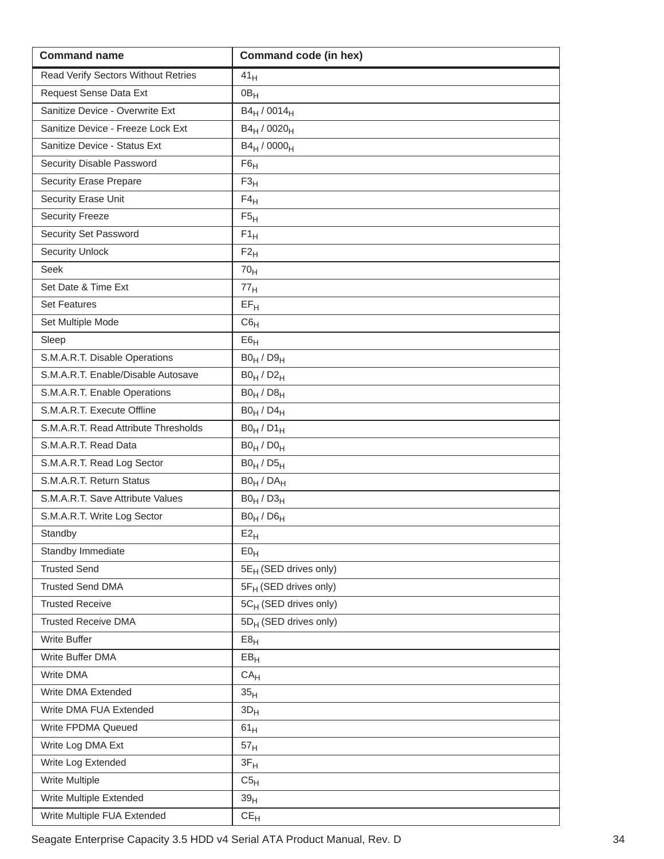| <b>Command name</b>                  | <b>Command code (in hex)</b>        |
|--------------------------------------|-------------------------------------|
| Read Verify Sectors Without Retries  | 41 <sub>H</sub>                     |
| Request Sense Data Ext               | 0B <sub>H</sub>                     |
| Sanitize Device - Overwrite Ext      | $B4_H / 0014_H$                     |
| Sanitize Device - Freeze Lock Ext    | B4 <sub>H</sub> / 0020 <sub>H</sub> |
| Sanitize Device - Status Ext         | $B4_H / 0000_H$                     |
| Security Disable Password            | F6 <sub>H</sub>                     |
| <b>Security Erase Prepare</b>        | $F3_H$                              |
| Security Erase Unit                  | $F4_H$                              |
| <b>Security Freeze</b>               | $F5_H$                              |
| Security Set Password                | $F1_H$                              |
| <b>Security Unlock</b>               | $F2_H$                              |
| <b>Seek</b>                          | 70 <sub>H</sub>                     |
| Set Date & Time Ext                  | 77 <sub>H</sub>                     |
| <b>Set Features</b>                  | $EF_H$                              |
| Set Multiple Mode                    | C6 <sub>H</sub>                     |
| Sleep                                | E6 <sub>H</sub>                     |
| S.M.A.R.T. Disable Operations        | $B0_H / D9_H$                       |
| S.M.A.R.T. Enable/Disable Autosave   | $B0_H / D2_H$                       |
| S.M.A.R.T. Enable Operations         | $B0_H / D8_H$                       |
| S.M.A.R.T. Execute Offline           | $B0_H / D4_H$                       |
| S.M.A.R.T. Read Attribute Thresholds | $B0_H / D1_H$                       |
| S.M.A.R.T. Read Data                 | $B0_H / D0_H$                       |
| S.M.A.R.T. Read Log Sector           | $B0_H / D5_H$                       |
| S.M.A.R.T. Return Status             | $B0_H / DA_H$                       |
| S.M.A.R.T. Save Attribute Values     | $B0_H / D3_H$                       |
| S.M.A.R.T. Write Log Sector          | $B0_H / D6_H$                       |
| Standby                              | $E2_H$                              |
| Standby Immediate                    | E0 <sub>H</sub>                     |
| <b>Trusted Send</b>                  | 5E <sub>H</sub> (SED drives only)   |
| <b>Trusted Send DMA</b>              | 5F <sub>H</sub> (SED drives only)   |
| <b>Trusted Receive</b>               | 5C <sub>H</sub> (SED drives only)   |
| <b>Trusted Receive DMA</b>           | 5D <sub>H</sub> (SED drives only)   |
| Write Buffer                         | E8 <sub>H</sub>                     |
| Write Buffer DMA                     | EB <sub>H</sub>                     |
| Write DMA                            | CA <sub>H</sub>                     |
| Write DMA Extended                   | 35 <sub>H</sub>                     |
| Write DMA FUA Extended               | $3D_H$                              |
| Write FPDMA Queued                   | 61 <sub>H</sub>                     |
| Write Log DMA Ext                    | 57 <sub>H</sub>                     |
| Write Log Extended                   | $3F_H$                              |
| Write Multiple                       | C5 <sub>H</sub>                     |
| Write Multiple Extended              | 39 <sub>H</sub>                     |
| Write Multiple FUA Extended          | $CE_{H}$                            |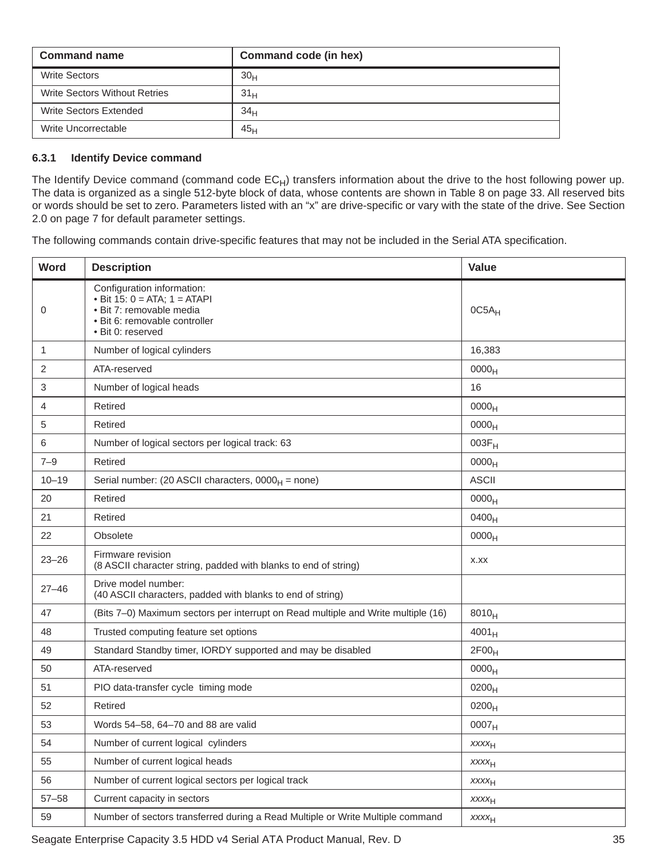| Command name                         | Command code (in hex) |
|--------------------------------------|-----------------------|
| <b>Write Sectors</b>                 | 30 <sub>H</sub>       |
| <b>Write Sectors Without Retries</b> | 31 <sub>H</sub>       |
| Write Sectors Extended               | 34 <sub>H</sub>       |
| Write Uncorrectable                  | 45 <sub>H</sub>       |

#### <span id="page-35-0"></span>**6.3.1 Identify Device command**

The Identify Device command (command code  $EC_H$ ) transfers information about the drive to the host following power up. The data is organized as a single 512-byte block of data, whose contents are shown in [Table 8](#page-33-1) on [page 33](#page-33-1). All reserved bits or words should be set to zero. Parameters listed with an "x" are drive-specific or vary with the state of the drive. [See Section](#page-7-0) [2.0 on page 7 f](#page-7-0)or default parameter settings.

The following commands contain drive-specific features that may not be included in the Serial ATA specification.

| Word      | <b>Description</b>                                                                                                                                | Value             |
|-----------|---------------------------------------------------------------------------------------------------------------------------------------------------|-------------------|
| 0         | Configuration information:<br>• Bit $15: 0 = ATA$ ; $1 = ATAPI$<br>· Bit 7: removable media<br>· Bit 6: removable controller<br>· Bit 0: reserved | $0C5A_H$          |
| 1         | Number of logical cylinders                                                                                                                       | 16,383            |
| 2         | ATA-reserved                                                                                                                                      | 0000 <sub>H</sub> |
| 3         | Number of logical heads                                                                                                                           | 16                |
| 4         | Retired                                                                                                                                           | 0000 <sub>H</sub> |
| 5         | Retired                                                                                                                                           | 0000 <sub>H</sub> |
| 6         | Number of logical sectors per logical track: 63                                                                                                   | $003F_H$          |
| $7 - 9$   | Retired                                                                                                                                           | 0000 <sub>H</sub> |
| $10 - 19$ | Serial number: (20 ASCII characters, $0000_H$ = none)                                                                                             | <b>ASCII</b>      |
| 20        | Retired                                                                                                                                           | 0000 <sub>H</sub> |
| 21        | Retired                                                                                                                                           | 0400 <sub>H</sub> |
| 22        | Obsolete                                                                                                                                          | 0000 <sub>H</sub> |
| $23 - 26$ | Firmware revision<br>(8 ASCII character string, padded with blanks to end of string)                                                              | X.XX              |
| $27 - 46$ | Drive model number:<br>(40 ASCII characters, padded with blanks to end of string)                                                                 |                   |
| 47        | (Bits 7-0) Maximum sectors per interrupt on Read multiple and Write multiple (16)                                                                 | $8010_H$          |
| 48        | Trusted computing feature set options                                                                                                             | $4001_H$          |
| 49        | Standard Standby timer, IORDY supported and may be disabled                                                                                       | 2F00 <sub>H</sub> |
| 50        | ATA-reserved                                                                                                                                      | 0000 <sub>H</sub> |
| 51        | PIO data-transfer cycle timing mode                                                                                                               | $0200_H$          |
| 52        | Retired                                                                                                                                           | $0200_H$          |
| 53        | Words 54-58, 64-70 and 88 are valid                                                                                                               | 0007 <sub>H</sub> |
| 54        | Number of current logical cylinders                                                                                                               | $xxxx_{H}$        |
| 55        | Number of current logical heads                                                                                                                   | <b>XXXXH</b>      |
| 56        | Number of current logical sectors per logical track                                                                                               | <b>XXXXH</b>      |
| $57 - 58$ | Current capacity in sectors                                                                                                                       | XXXH              |
| 59        | Number of sectors transferred during a Read Multiple or Write Multiple command                                                                    | $xxxx_{H}$        |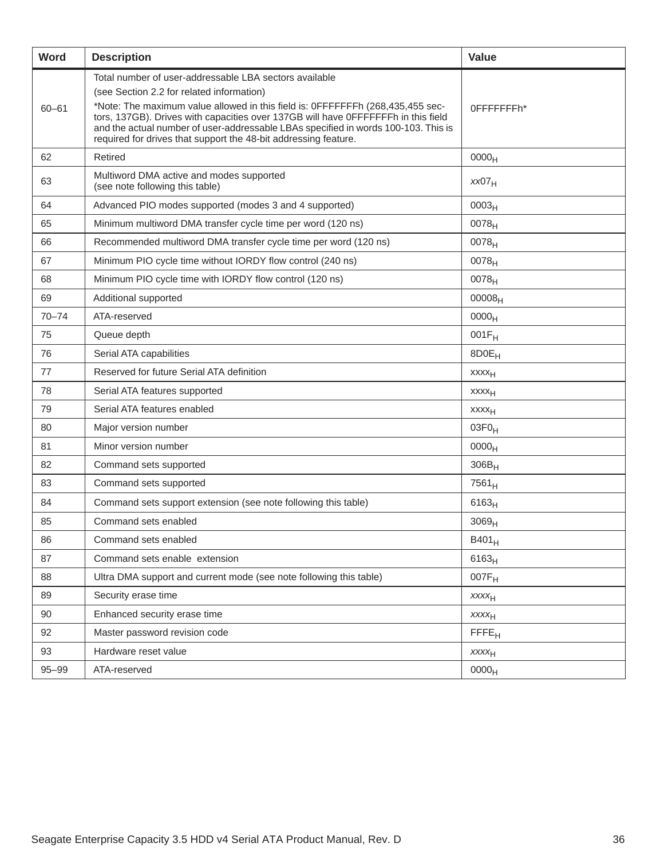| Word      | <b>Description</b>                                                                                                                                                                                                                                                                                                                                                                                                                  | <b>Value</b>            |
|-----------|-------------------------------------------------------------------------------------------------------------------------------------------------------------------------------------------------------------------------------------------------------------------------------------------------------------------------------------------------------------------------------------------------------------------------------------|-------------------------|
| $60 - 61$ | Total number of user-addressable LBA sectors available<br>(see Section 2.2 for related information)<br>*Note: The maximum value allowed in this field is: 0FFFFFFFh (268,435,455 sec-<br>tors, 137GB). Drives with capacities over 137GB will have 0FFFFFFFh in this field<br>and the actual number of user-addressable LBAs specified in words 100-103. This is<br>required for drives that support the 48-bit addressing feature. | 0FFFFFFFFh*             |
| 62        | Retired                                                                                                                                                                                                                                                                                                                                                                                                                             | 0000 <sub>H</sub>       |
| 63        | Multiword DMA active and modes supported<br>(see note following this table)                                                                                                                                                                                                                                                                                                                                                         | xx07 <sub>H</sub>       |
| 64        | Advanced PIO modes supported (modes 3 and 4 supported)                                                                                                                                                                                                                                                                                                                                                                              | 0003 <sub>H</sub>       |
| 65        | Minimum multiword DMA transfer cycle time per word (120 ns)                                                                                                                                                                                                                                                                                                                                                                         | 0078 <sub>H</sub>       |
| 66        | Recommended multiword DMA transfer cycle time per word (120 ns)                                                                                                                                                                                                                                                                                                                                                                     | $0078_H$                |
| 67        | Minimum PIO cycle time without IORDY flow control (240 ns)                                                                                                                                                                                                                                                                                                                                                                          | 0078 <sub>H</sub>       |
| 68        | Minimum PIO cycle time with IORDY flow control (120 ns)                                                                                                                                                                                                                                                                                                                                                                             | $0078_H$                |
| 69        | Additional supported                                                                                                                                                                                                                                                                                                                                                                                                                | 00008 <sub>H</sub>      |
| $70 - 74$ | ATA-reserved                                                                                                                                                                                                                                                                                                                                                                                                                        | 0000 <sub>H</sub>       |
| 75        | Queue depth                                                                                                                                                                                                                                                                                                                                                                                                                         | $001F_H$                |
| 76        | Serial ATA capabilities                                                                                                                                                                                                                                                                                                                                                                                                             | 8D0E <sub>H</sub>       |
| 77        | Reserved for future Serial ATA definition                                                                                                                                                                                                                                                                                                                                                                                           | <b>XXXX<sub>H</sub></b> |
| 78        | Serial ATA features supported                                                                                                                                                                                                                                                                                                                                                                                                       | xxxx <sub>H</sub>       |
| 79        | Serial ATA features enabled                                                                                                                                                                                                                                                                                                                                                                                                         | xxxx <sub>H</sub>       |
| 80        | Major version number                                                                                                                                                                                                                                                                                                                                                                                                                | $03F0_H$                |
| 81        | Minor version number                                                                                                                                                                                                                                                                                                                                                                                                                | 0000 <sub>H</sub>       |
| 82        | Command sets supported                                                                                                                                                                                                                                                                                                                                                                                                              | $306B_H$                |
| 83        | Command sets supported                                                                                                                                                                                                                                                                                                                                                                                                              | 7561 <sub>H</sub>       |
| 84        | Command sets support extension (see note following this table)                                                                                                                                                                                                                                                                                                                                                                      | 6163 <sub>H</sub>       |
| 85        | Command sets enabled                                                                                                                                                                                                                                                                                                                                                                                                                | 3069 <sub>H</sub>       |
| 86        | Command sets enabled                                                                                                                                                                                                                                                                                                                                                                                                                | B401 <sub>H</sub>       |
| 87        | Command sets enable extension                                                                                                                                                                                                                                                                                                                                                                                                       | $6163_H$                |
| 88        | Ultra DMA support and current mode (see note following this table)                                                                                                                                                                                                                                                                                                                                                                  | $007F_H$                |
| 89        | Security erase time                                                                                                                                                                                                                                                                                                                                                                                                                 | <b>XXXXH</b>            |
| 90        | Enhanced security erase time                                                                                                                                                                                                                                                                                                                                                                                                        | <b>XXXXH</b>            |
| 92        | Master password revision code                                                                                                                                                                                                                                                                                                                                                                                                       | FFE <sub>H</sub>        |
| 93        | Hardware reset value                                                                                                                                                                                                                                                                                                                                                                                                                | $xxxx_{H}$              |
| $95 - 99$ | ATA-reserved                                                                                                                                                                                                                                                                                                                                                                                                                        | 0000 <sub>H</sub>       |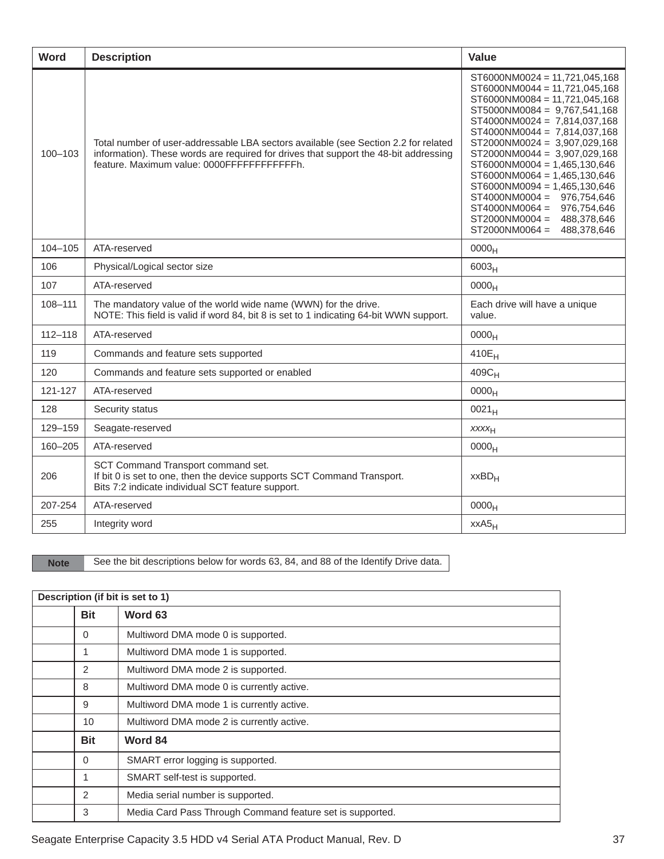| <b>Word</b> | <b>Description</b>                                                                                                                                                                                                         | <b>Value</b>                                                                                                                                                                                                                                                                                                                                                                                                                                                                                               |
|-------------|----------------------------------------------------------------------------------------------------------------------------------------------------------------------------------------------------------------------------|------------------------------------------------------------------------------------------------------------------------------------------------------------------------------------------------------------------------------------------------------------------------------------------------------------------------------------------------------------------------------------------------------------------------------------------------------------------------------------------------------------|
| $100 - 103$ | Total number of user-addressable LBA sectors available (see Section 2.2 for related<br>information). These words are required for drives that support the 48-bit addressing<br>feature. Maximum value: 0000FFFFFFFFFFFFFh. | $ST6000NM0024 = 11,721,045,168$<br>ST6000NM0044 = 11,721,045,168<br>ST6000NM0084 = 11,721,045,168<br>$ST5000NM0084 = 9,767,541,168$<br>ST4000NM0024 = 7,814,037,168<br>$ST4000NM0044 = 7,814,037,168$<br>ST2000NM0024 = 3,907,029,168<br>ST2000NM0044 = 3,907,029,168<br>$ST6000NM0004 = 1,465,130,646$<br>$ST6000NM0064 = 1,465,130,646$<br>$ST6000NM0094 = 1,465,130,646$<br>$ST4000NM0004 = 976,754,646$<br>ST4000NM0064 = 976,754,646<br>$ST2000NM0004 = 488,378,646$<br>ST2000NM0064 =<br>488,378,646 |
| $104 - 105$ | ATA-reserved                                                                                                                                                                                                               | 0000 <sub>H</sub>                                                                                                                                                                                                                                                                                                                                                                                                                                                                                          |
| 106         | Physical/Logical sector size                                                                                                                                                                                               | 6003 <sub>H</sub>                                                                                                                                                                                                                                                                                                                                                                                                                                                                                          |
| 107         | ATA-reserved                                                                                                                                                                                                               | 0000 <sub>H</sub>                                                                                                                                                                                                                                                                                                                                                                                                                                                                                          |
| 108-111     | The mandatory value of the world wide name (WWN) for the drive.<br>NOTE: This field is valid if word 84, bit 8 is set to 1 indicating 64-bit WWN support.                                                                  | Each drive will have a unique<br>value.                                                                                                                                                                                                                                                                                                                                                                                                                                                                    |
| $112 - 118$ | ATA-reserved                                                                                                                                                                                                               | 0000 <sub>H</sub>                                                                                                                                                                                                                                                                                                                                                                                                                                                                                          |
| 119         | Commands and feature sets supported                                                                                                                                                                                        | 410E <sub>H</sub>                                                                                                                                                                                                                                                                                                                                                                                                                                                                                          |
| 120         | Commands and feature sets supported or enabled                                                                                                                                                                             | $409C_H$                                                                                                                                                                                                                                                                                                                                                                                                                                                                                                   |
| 121-127     | ATA-reserved                                                                                                                                                                                                               | 0000 <sub>H</sub>                                                                                                                                                                                                                                                                                                                                                                                                                                                                                          |
| 128         | Security status                                                                                                                                                                                                            | $0021_H$                                                                                                                                                                                                                                                                                                                                                                                                                                                                                                   |
| 129-159     | Seagate-reserved                                                                                                                                                                                                           | XXXH                                                                                                                                                                                                                                                                                                                                                                                                                                                                                                       |
| 160-205     | ATA-reserved                                                                                                                                                                                                               | 0000 <sub>H</sub>                                                                                                                                                                                                                                                                                                                                                                                                                                                                                          |
| 206         | SCT Command Transport command set.<br>If bit 0 is set to one, then the device supports SCT Command Transport.<br>Bits 7:2 indicate individual SCT feature support.                                                         | $XXBD_H$                                                                                                                                                                                                                                                                                                                                                                                                                                                                                                   |
| 207-254     | ATA-reserved                                                                                                                                                                                                               | 0000 <sub>H</sub>                                                                                                                                                                                                                                                                                                                                                                                                                                                                                          |
| 255         | Integrity word                                                                                                                                                                                                             | $XXAS_H$                                                                                                                                                                                                                                                                                                                                                                                                                                                                                                   |

Note See the bit descriptions below for words 63, 84, and 88 of the Identify Drive data.

| Description (if bit is set to 1) |            |                                                           |
|----------------------------------|------------|-----------------------------------------------------------|
|                                  | <b>Bit</b> | Word 63                                                   |
|                                  | 0          | Multiword DMA mode 0 is supported.                        |
|                                  | 1          | Multiword DMA mode 1 is supported.                        |
|                                  | 2          | Multiword DMA mode 2 is supported.                        |
|                                  | 8          | Multiword DMA mode 0 is currently active.                 |
|                                  | 9          | Multiword DMA mode 1 is currently active.                 |
|                                  | 10         | Multiword DMA mode 2 is currently active.                 |
|                                  | <b>Bit</b> | Word 84                                                   |
|                                  | $\Omega$   | SMART error logging is supported.                         |
|                                  | 1          | SMART self-test is supported.                             |
|                                  | 2          | Media serial number is supported.                         |
|                                  | 3          | Media Card Pass Through Command feature set is supported. |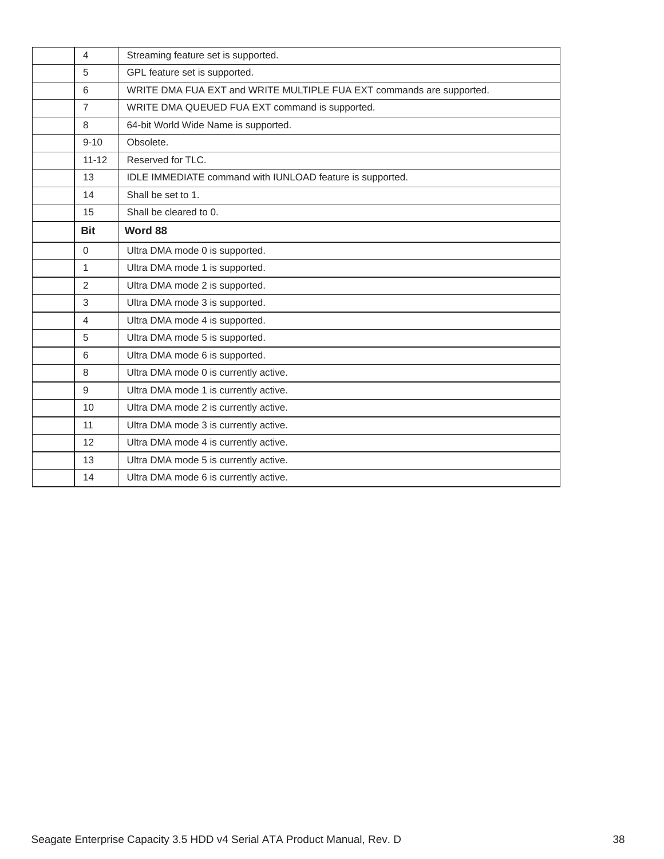| 4              | Streaming feature set is supported.                                  |
|----------------|----------------------------------------------------------------------|
| 5              | GPL feature set is supported.                                        |
| 6              | WRITE DMA FUA EXT and WRITE MULTIPLE FUA EXT commands are supported. |
| $\overline{7}$ | WRITE DMA QUEUED FUA EXT command is supported.                       |
| 8              | 64-bit World Wide Name is supported.                                 |
| $9 - 10$       | Obsolete.                                                            |
| $11 - 12$      | Reserved for TLC.                                                    |
| 13             | IDLE IMMEDIATE command with IUNLOAD feature is supported.            |
| 14             | Shall be set to 1.                                                   |
| 15             | Shall be cleared to 0.                                               |
| <b>Bit</b>     | Word 88                                                              |
| $\Omega$       | Ultra DMA mode 0 is supported.                                       |
| 1              | Ultra DMA mode 1 is supported.                                       |
| $\overline{2}$ | Ultra DMA mode 2 is supported.                                       |
| 3              | Ultra DMA mode 3 is supported.                                       |
| 4              | Ultra DMA mode 4 is supported.                                       |
| 5              | Ultra DMA mode 5 is supported.                                       |
| 6              | Ultra DMA mode 6 is supported.                                       |
| 8              | Ultra DMA mode 0 is currently active.                                |
| 9              | Ultra DMA mode 1 is currently active.                                |
| 10             | Ultra DMA mode 2 is currently active.                                |
| 11             | Ultra DMA mode 3 is currently active.                                |
| 12             | Ultra DMA mode 4 is currently active.                                |
| 13             | Ultra DMA mode 5 is currently active.                                |
| 14             | Ultra DMA mode 6 is currently active.                                |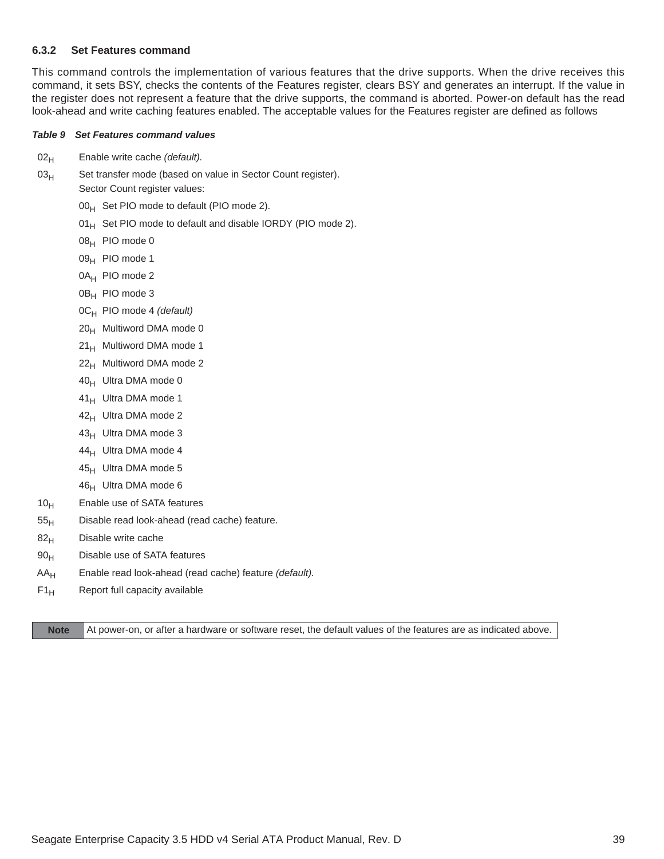#### <span id="page-39-0"></span>**6.3.2 Set Features command**

This command controls the implementation of various features that the drive supports. When the drive receives this command, it sets BSY, checks the contents of the Features register, clears BSY and generates an interrupt. If the value in the register does not represent a feature that the drive supports, the command is aborted. Power-on default has the read look-ahead and write caching features enabled. The acceptable values for the Features register are defined as follows

#### *Table 9 Set Features command values*

- 02<sub>H</sub> Enable write cache *(default)*.
- 03<sub>H</sub> Set transfer mode (based on value in Sector Count register).
	- Sector Count register values:
		- $00_H$  Set PIO mode to default (PIO mode 2).
		- $01_H$  Set PIO mode to default and disable IORDY (PIO mode 2).
		- 08H PIO mode 0
		- 09<sub>H</sub> PIO mode 1
		- 0A<sub>H</sub> PIO mode 2
		- 0B<sub>H</sub> PIO mode 3
		- 0CH PIO mode 4 *(default)*
		- $20_H$  Multiword DMA mode 0
		- 21<sub>H</sub> Multiword DMA mode 1
		- $22<sub>H</sub>$  Multiword DMA mode 2
		- 40<sub>H</sub> Ultra DMA mode 0
		- 41<sub>H</sub> Ultra DMA mode 1
		- 42<sub>H</sub> Ultra DMA mode 2
		- 43<sub>H</sub> Ultra DMA mode 3
		- 44<sub>H</sub> Ultra DMA mode 4
		- 45<sub>H</sub> Ultra DMA mode 5
		- 46<sub>H</sub> Ultra DMA mode 6
- $10<sub>H</sub>$  Enable use of SATA features
- $55<sub>H</sub>$  Disable read look-ahead (read cache) feature.
- $82<sub>H</sub>$  Disable write cache
- 90<sub>H</sub> Disable use of SATA features
- AAH Enable read look-ahead (read cache) feature *(default).*
- $F1_H$  Report full capacity available

**Note** At power-on, or after a hardware or software reset, the default values of the features are as indicated above.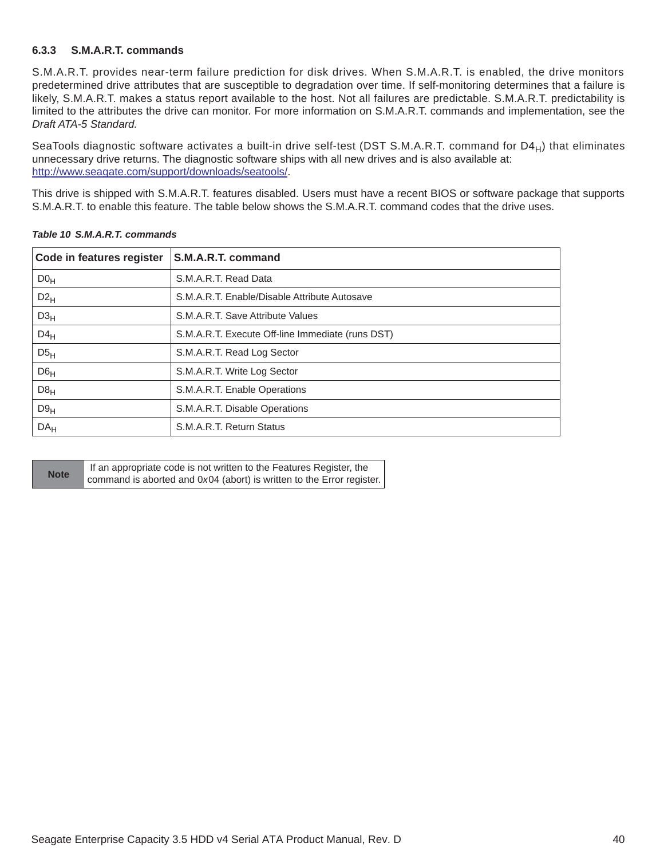#### <span id="page-40-0"></span>**6.3.3 S.M.A.R.T. commands**

S.M.A.R.T. provides near-term failure prediction for disk drives. When S.M.A.R.T. is enabled, the drive monitors predetermined drive attributes that are susceptible to degradation over time. If self-monitoring determines that a failure is likely, S.M.A.R.T. makes a status report available to the host. Not all failures are predictable. S.M.A.R.T. predictability is limited to the attributes the drive can monitor. For more information on S.M.A.R.T. commands and implementation, see the *Draft ATA-5 Standard.*

SeaTools diagnostic software activates a built-in drive self-test (DST S.M.A.R.T. command for D4 $_H$ ) that eliminates unnecessary drive returns. The diagnostic software ships with all new drives and is also available at: [http://www.seagate.com/support/downloads/seatools/](http://www.seagate.com/support/downloads/seatools/ ).

This drive is shipped with S.M.A.R.T. features disabled. Users must have a recent BIOS or software package that supports S.M.A.R.T. to enable this feature. The table below shows the S.M.A.R.T. command codes that the drive uses.

| Code in features register | S.M.A.R.T. command                               |
|---------------------------|--------------------------------------------------|
| D0 <sub>H</sub>           | S.M.A.R.T. Read Data                             |
| $D2_{H}$                  | S.M.A.R.T. Enable/Disable Attribute Autosave     |
| D3 <sub>H</sub>           | S.M.A.R.T. Save Attribute Values                 |
| $D4_H$                    | S.M.A.R.T. Execute Off-line Immediate (runs DST) |
| D5 <sub>H</sub>           | S.M.A.R.T. Read Log Sector                       |
| D6 <sub>H</sub>           | S.M.A.R.T. Write Log Sector                      |
| D8 <sub>H</sub>           | S.M.A.R.T. Enable Operations                     |
| D9 <sub>H</sub>           | S.M.A.R.T. Disable Operations                    |
| DA <sub>H</sub>           | S.M.A.R.T. Return Status                         |

|  |  | Table 10 S.M.A.R.T. commands |  |
|--|--|------------------------------|--|
|--|--|------------------------------|--|

|             | If an appropriate code is not written to the Features Register, the   |
|-------------|-----------------------------------------------------------------------|
| <b>Note</b> | command is aborted and 0x04 (abort) is written to the Error register. |